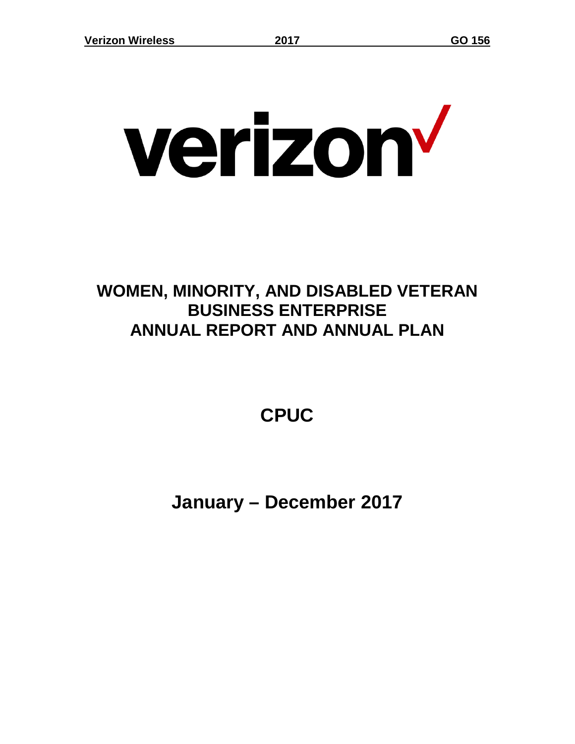# verizon<sup>v</sup>

## **WOMEN, MINORITY, AND DISABLED VETERAN BUSINESS ENTERPRISE ANNUAL REPORT AND ANNUAL PLAN**

# **CPUC**

**January – December 2017**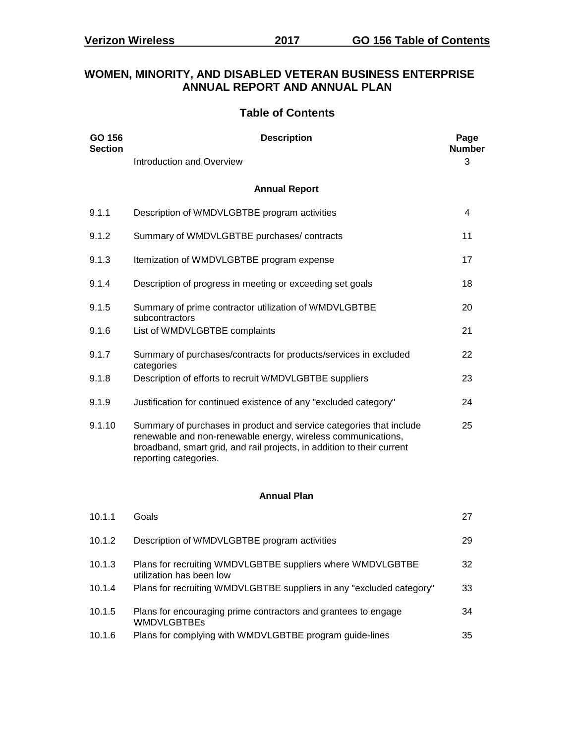#### **WOMEN, MINORITY, AND DISABLED VETERAN BUSINESS ENTERPRISE ANNUAL REPORT AND ANNUAL PLAN**

#### **Table of Contents**

| GO 156<br><b>Section</b> | <b>Description</b>                                                                                                                                                                                                                     | Page<br><b>Number</b> |
|--------------------------|----------------------------------------------------------------------------------------------------------------------------------------------------------------------------------------------------------------------------------------|-----------------------|
|                          | Introduction and Overview                                                                                                                                                                                                              | 3                     |
|                          | <b>Annual Report</b>                                                                                                                                                                                                                   |                       |
| 9.1.1                    | Description of WMDVLGBTBE program activities                                                                                                                                                                                           | 4                     |
| 9.1.2                    | Summary of WMDVLGBTBE purchases/contracts                                                                                                                                                                                              | 11                    |
| 9.1.3                    | Itemization of WMDVLGBTBE program expense                                                                                                                                                                                              | 17                    |
| 9.1.4                    | Description of progress in meeting or exceeding set goals                                                                                                                                                                              | 18                    |
| 9.1.5                    | Summary of prime contractor utilization of WMDVLGBTBE<br>subcontractors                                                                                                                                                                | 20                    |
| 9.1.6                    | List of WMDVLGBTBE complaints                                                                                                                                                                                                          | 21                    |
| 9.1.7                    | Summary of purchases/contracts for products/services in excluded<br>categories                                                                                                                                                         | 22                    |
| 9.1.8                    | Description of efforts to recruit WMDVLGBTBE suppliers                                                                                                                                                                                 | 23                    |
| 9.1.9                    | Justification for continued existence of any "excluded category"                                                                                                                                                                       | 24                    |
| 9.1.10                   | Summary of purchases in product and service categories that include<br>renewable and non-renewable energy, wireless communications,<br>broadband, smart grid, and rail projects, in addition to their current<br>reporting categories. | 25                    |
|                          | <b>Annual Plan</b>                                                                                                                                                                                                                     |                       |
| 10.1.1                   | Goals                                                                                                                                                                                                                                  | 27                    |

| 10.1.3 | Plans for recruiting WMDVLGBTBE suppliers where WMDVLGBTBE<br>utilization has been low | 32 |
|--------|----------------------------------------------------------------------------------------|----|
| 10.1.4 | Plans for recruiting WMDVLGBTBE suppliers in any "excluded category"                   | 33 |
| 10.1.5 | Plans for encouraging prime contractors and grantees to engage<br><b>WMDVLGBTBEs</b>   | 34 |
| 10.1.6 | Plans for complying with WMDVLGBTBE program guide-lines                                | 35 |

10.1.2 Description of WMDVLGBTBE program activities 29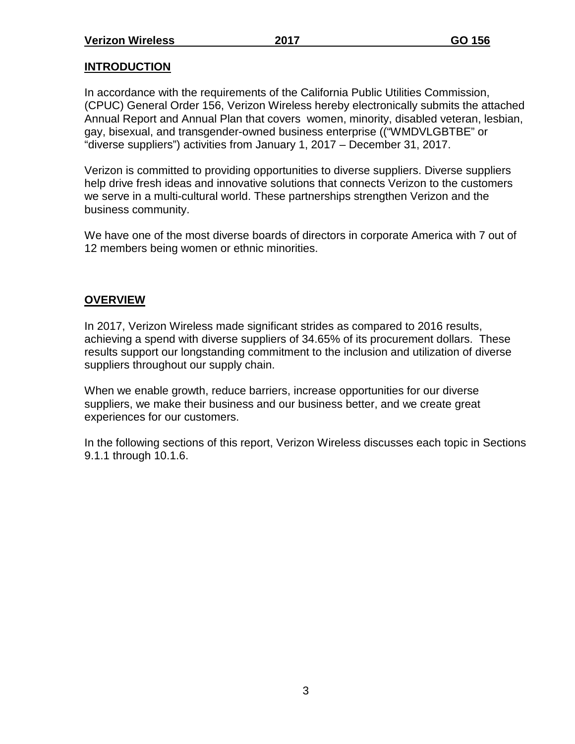## **INTRODUCTION**

In accordance with the requirements of the California Public Utilities Commission, (CPUC) General Order 156, Verizon Wireless hereby electronically submits the attached Annual Report and Annual Plan that covers women, minority, disabled veteran, lesbian, gay, bisexual, and transgender-owned business enterprise (("WMDVLGBTBE" or "diverse suppliers") activities from January 1, 2017 – December 31, 2017.

Verizon is committed to providing opportunities to diverse suppliers. Diverse suppliers help drive fresh ideas and innovative solutions that connects Verizon to the customers we serve in a multi-cultural world. These partnerships strengthen Verizon and the business community.

We have one of the most diverse boards of directors in corporate America with 7 out of 12 members being women or ethnic minorities.

#### **OVERVIEW**

In 2017, Verizon Wireless made significant strides as compared to 2016 results, achieving a spend with diverse suppliers of 34.65% of its procurement dollars. These results support our longstanding commitment to the inclusion and utilization of diverse suppliers throughout our supply chain.

When we enable growth, reduce barriers, increase opportunities for our diverse suppliers, we make their business and our business better, and we create great experiences for our customers.

In the following sections of this report, Verizon Wireless discusses each topic in Sections 9.1.1 through 10.1.6.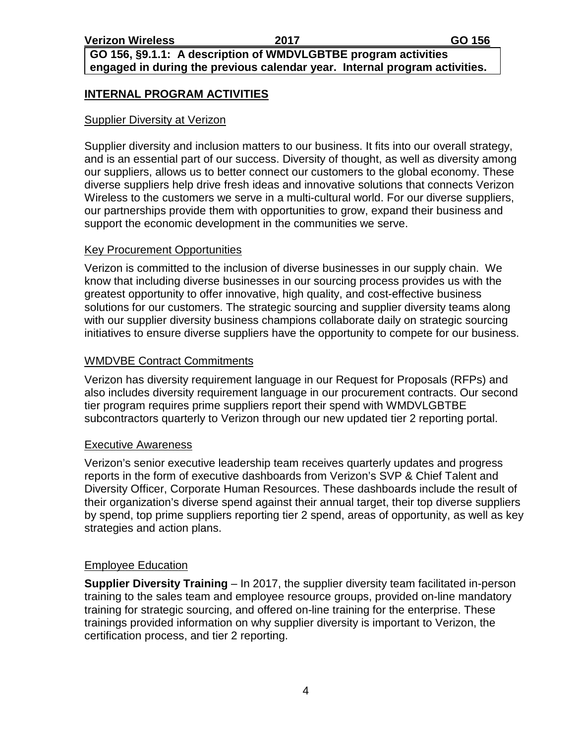#### **GO 156, §9.1.1: A description of WMDVLGBTBE program activities engaged in during the previous calendar year. Internal program activities.**

#### **INTERNAL PROGRAM ACTIVITIES**

#### Supplier Diversity at Verizon

Supplier diversity and inclusion matters to our business. It fits into our overall strategy, and is an essential part of our success. Diversity of thought, as well as diversity among our suppliers, allows us to better connect our customers to the global economy. These diverse suppliers help drive fresh ideas and innovative solutions that connects Verizon Wireless to the customers we serve in a multi-cultural world. For our diverse suppliers, our partnerships provide them with opportunities to grow, expand their business and support the economic development in the communities we serve.

#### Key Procurement Opportunities

Verizon is committed to the inclusion of diverse businesses in our supply chain. We know that including diverse businesses in our sourcing process provides us with the greatest opportunity to offer innovative, high quality, and cost-effective business solutions for our customers. The strategic sourcing and supplier diversity teams along with our supplier diversity business champions collaborate daily on strategic sourcing initiatives to ensure diverse suppliers have the opportunity to compete for our business.

#### WMDVBE Contract Commitments

Verizon has diversity requirement language in our Request for Proposals (RFPs) and also includes diversity requirement language in our procurement contracts. Our second tier program requires prime suppliers report their spend with WMDVLGBTBE subcontractors quarterly to Verizon through our new updated tier 2 reporting portal.

#### Executive Awareness

Verizon's senior executive leadership team receives quarterly updates and progress reports in the form of executive dashboards from Verizon's SVP & Chief Talent and Diversity Officer, Corporate Human Resources. These dashboards include the result of their organization's diverse spend against their annual target, their top diverse suppliers by spend, top prime suppliers reporting tier 2 spend, areas of opportunity, as well as key strategies and action plans.

#### Employee Education

**Supplier Diversity Training** – In 2017, the supplier diversity team facilitated in-person training to the sales team and employee resource groups, provided on-line mandatory training for strategic sourcing, and offered on-line training for the enterprise. These trainings provided information on why supplier diversity is important to Verizon, the certification process, and tier 2 reporting.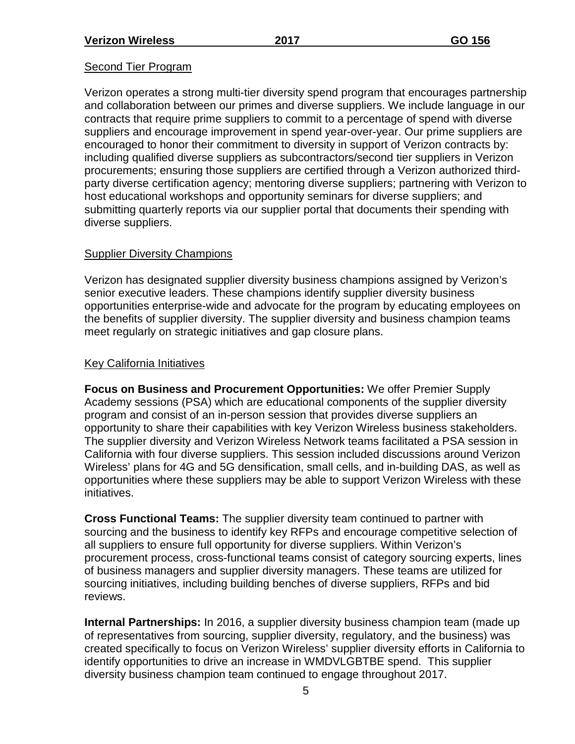#### Second Tier Program

Verizon operates a strong multi-tier diversity spend program that encourages partnership and collaboration between our primes and diverse suppliers. We include language in our contracts that require prime suppliers to commit to a percentage of spend with diverse suppliers and encourage improvement in spend year-over-year. Our prime suppliers are encouraged to honor their commitment to diversity in support of Verizon contracts by: including qualified diverse suppliers as subcontractors/second tier suppliers in Verizon procurements; ensuring those suppliers are certified through a Verizon authorized thirdparty diverse certification agency; mentoring diverse suppliers; partnering with Verizon to host educational workshops and opportunity seminars for diverse suppliers; and submitting quarterly reports via our supplier portal that documents their spending with diverse suppliers.

#### Supplier Diversity Champions

Verizon has designated supplier diversity business champions assigned by Verizon's senior executive leaders. These champions identify supplier diversity business opportunities enterprise-wide and advocate for the program by educating employees on the benefits of supplier diversity. The supplier diversity and business champion teams meet regularly on strategic initiatives and gap closure plans.

#### Key California Initiatives

**Focus on Business and Procurement Opportunities:** We offer Premier Supply Academy sessions (PSA) which are educational components of the supplier diversity program and consist of an in-person session that provides diverse suppliers an opportunity to share their capabilities with key Verizon Wireless business stakeholders. The supplier diversity and Verizon Wireless Network teams facilitated a PSA session in California with four diverse suppliers. This session included discussions around Verizon Wireless' plans for 4G and 5G densification, small cells, and in-building DAS, as well as opportunities where these suppliers may be able to support Verizon Wireless with these initiatives.

**Cross Functional Teams:** The supplier diversity team continued to partner with sourcing and the business to identify key RFPs and encourage competitive selection of all suppliers to ensure full opportunity for diverse suppliers. Within Verizon's procurement process, cross-functional teams consist of category sourcing experts, lines of business managers and supplier diversity managers. These teams are utilized for sourcing initiatives, including building benches of diverse suppliers, RFPs and bid reviews.

**Internal Partnerships:** In 2016, a supplier diversity business champion team (made up of representatives from sourcing, supplier diversity, regulatory, and the business) was created specifically to focus on Verizon Wireless' supplier diversity efforts in California to identify opportunities to drive an increase in WMDVLGBTBE spend. This supplier diversity business champion team continued to engage throughout 2017.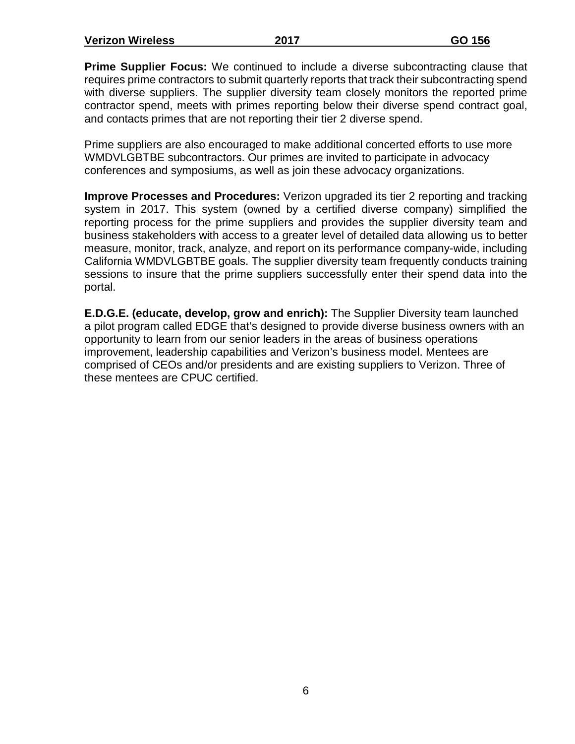| <b>Verizon Wireless</b> | 2017 | GO 156 |
|-------------------------|------|--------|
|                         |      |        |

**Prime Supplier Focus:** We continued to include a diverse subcontracting clause that requires prime contractors to submit quarterly reports that track their subcontracting spend with diverse suppliers. The supplier diversity team closely monitors the reported prime contractor spend, meets with primes reporting below their diverse spend contract goal, and contacts primes that are not reporting their tier 2 diverse spend.

Prime suppliers are also encouraged to make additional concerted efforts to use more WMDVLGBTBE subcontractors. Our primes are invited to participate in advocacy conferences and symposiums, as well as join these advocacy organizations.

**Improve Processes and Procedures:** Verizon upgraded its tier 2 reporting and tracking system in 2017. This system (owned by a certified diverse company) simplified the reporting process for the prime suppliers and provides the supplier diversity team and business stakeholders with access to a greater level of detailed data allowing us to better measure, monitor, track, analyze, and report on its performance company-wide, including California WMDVLGBTBE goals. The supplier diversity team frequently conducts training sessions to insure that the prime suppliers successfully enter their spend data into the portal.

**E.D.G.E. (educate, develop, grow and enrich):** The Supplier Diversity team launched a pilot program called EDGE that's designed to provide diverse business owners with an opportunity to learn from our senior leaders in the areas of business operations improvement, leadership capabilities and Verizon's business model. Mentees are comprised of CEOs and/or presidents and are existing suppliers to Verizon. Three of these mentees are CPUC certified.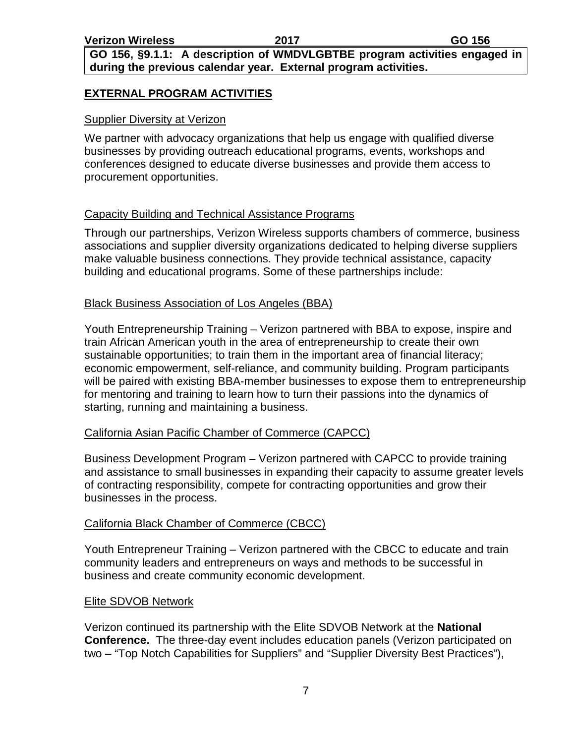**GO 156, §9.1.1: A description of WMDVLGBTBE program activities engaged in during the previous calendar year. External program activities.**

#### **EXTERNAL PROGRAM ACTIVITIES**

#### Supplier Diversity at Verizon

We partner with advocacy organizations that help us engage with qualified diverse businesses by providing outreach educational programs, events, workshops and conferences designed to educate diverse businesses and provide them access to procurement opportunities.

#### Capacity Building and Technical Assistance Programs

Through our partnerships, Verizon Wireless supports chambers of commerce, business associations and supplier diversity organizations dedicated to helping diverse suppliers make valuable business connections. They provide technical assistance, capacity building and educational programs. Some of these partnerships include:

#### Black Business Association of Los Angeles (BBA)

Youth Entrepreneurship Training – Verizon partnered with BBA to expose, inspire and train African American youth in the area of entrepreneurship to create their own sustainable opportunities; to train them in the important area of financial literacy; economic empowerment, self-reliance, and community building. Program participants will be paired with existing BBA-member businesses to expose them to entrepreneurship for mentoring and training to learn how to turn their passions into the dynamics of starting, running and maintaining a business.

#### California Asian Pacific Chamber of Commerce (CAPCC)

Business Development Program – Verizon partnered with CAPCC to provide training and assistance to small businesses in expanding their capacity to assume greater levels of contracting responsibility, compete for contracting opportunities and grow their businesses in the process.

#### California Black Chamber of Commerce (CBCC)

Youth Entrepreneur Training – Verizon partnered with the CBCC to educate and train community leaders and entrepreneurs on ways and methods to be successful in business and create community economic development.

#### Elite SDVOB Network

Verizon continued its partnership with the Elite SDVOB Network at the **National Conference.** The three-day event includes education panels (Verizon participated on two – "Top Notch Capabilities for Suppliers" and "Supplier Diversity Best Practices"),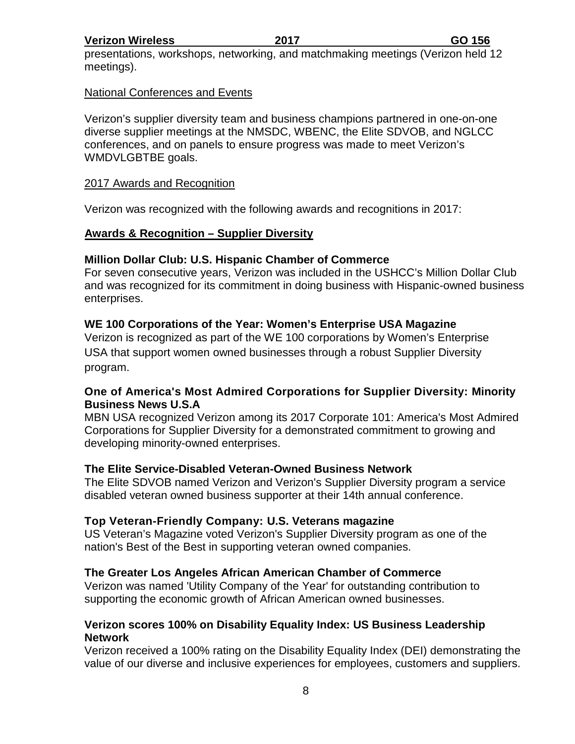presentations, workshops, networking, and matchmaking meetings (Verizon held 12 meetings).

#### National Conferences and Events

Verizon's supplier diversity team and business champions partnered in one-on-one diverse supplier meetings at the NMSDC, WBENC, the Elite SDVOB, and NGLCC conferences, and on panels to ensure progress was made to meet Verizon's WMDVLGBTBE goals.

#### 2017 Awards and Recognition

Verizon was recognized with the following awards and recognitions in 2017:

#### **Awards & Recognition – Supplier Diversity**

#### **Million Dollar Club: U.S. Hispanic Chamber of Commerce**

For seven consecutive years, Verizon was included in the USHCC's Million Dollar Club and was recognized for its commitment in doing business with Hispanic-owned business enterprises.

#### **WE 100 Corporations of the Year: Women's Enterprise USA Magazine**

Verizon is recognized as part of the WE 100 corporations by Women's Enterprise USA that support women owned businesses through a robust Supplier Diversity program.

#### **One of America's Most Admired Corporations for Supplier Diversity: Minority Business News U.S.A**

MBN USA recognized Verizon among its 2017 Corporate 101: America's Most Admired Corporations for Supplier Diversity for a demonstrated commitment to growing and developing minority-owned enterprises.

#### **The Elite Service-Disabled Veteran-Owned Business Network**

The Elite SDVOB named Verizon and Verizon's Supplier Diversity program a service disabled veteran owned business supporter at their 14th annual conference.

#### **Top Veteran-Friendly Company: U.S. Veterans magazine**

US Veteran's Magazine voted Verizon's Supplier Diversity program as one of the nation's Best of the Best in supporting veteran owned companies.

#### **The Greater Los Angeles African American Chamber of Commerce**

Verizon was named 'Utility Company of the Year' for outstanding contribution to supporting the economic growth of African American owned businesses.

#### **Verizon scores 100% on Disability Equality Index: US Business Leadership Network**

Verizon received a 100% rating on the Disability Equality Index (DEI) demonstrating the value of our diverse and inclusive experiences for employees, customers and suppliers.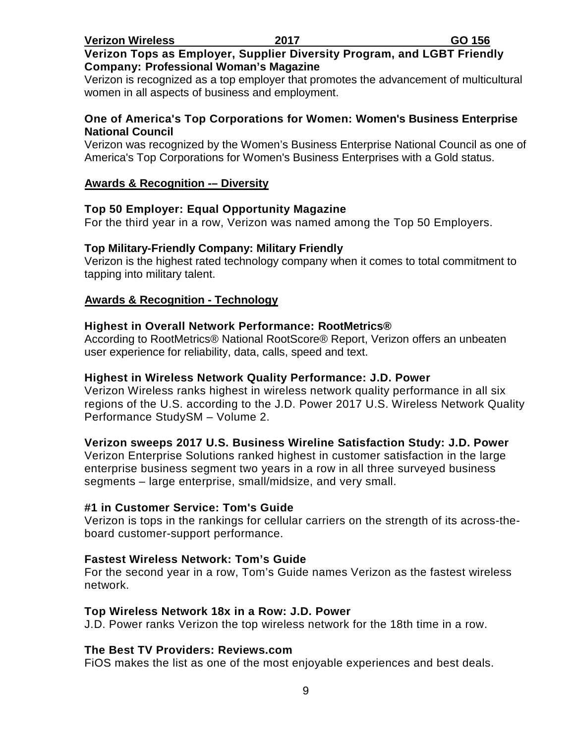#### **Verizon Tops as Employer, Supplier Diversity Program, and LGBT Friendly Company: Professional Woman's Magazine**

Verizon is recognized as a top employer that promotes the advancement of multicultural women in all aspects of business and employment.

#### **One of America's Top Corporations for Women: Women's Business Enterprise National Council**

Verizon was recognized by the Women's Business Enterprise National Council as one of America's Top Corporations for Women's Business Enterprises with a Gold status.

#### **Awards & Recognition -– Diversity**

#### **Top 50 Employer: Equal Opportunity Magazine**

For the third year in a row, Verizon was named among the Top 50 Employers.

#### **Top Military-Friendly Company: Military Friendly**

Verizon is the highest rated technology company when it comes to total commitment to tapping into military talent.

#### **Awards & Recognition - Technology**

#### **Highest in Overall Network Performance: RootMetrics®**

According to RootMetrics® National RootScore® Report, Verizon offers an unbeaten user experience for reliability, data, calls, speed and text.

#### **Highest in Wireless Network Quality Performance: J.D. Power**

Verizon Wireless ranks highest in wireless network quality performance in all six regions of the U.S. according to the J.D. Power 2017 U.S. Wireless Network Quality Performance StudySM – Volume 2.

#### **Verizon sweeps 2017 U.S. Business Wireline Satisfaction Study: J.D. Power**

Verizon Enterprise Solutions ranked highest in customer satisfaction in the large enterprise business segment two years in a row in all three surveyed business segments – large enterprise, small/midsize, and very small.

#### **#1 in Customer Service: Tom's Guide**

Verizon is tops in the rankings for cellular carriers on the strength of its across-theboard customer-support performance.

#### **Fastest Wireless Network: Tom's Guide**

For the second year in a row, Tom's Guide names Verizon as the fastest wireless network.

#### **Top Wireless Network 18x in a Row: J.D. Power**

J.D. Power ranks Verizon the top wireless network for the 18th time in a row.

#### **The Best TV Providers: Reviews.com**

FiOS makes the list as one of the most enjoyable experiences and best deals.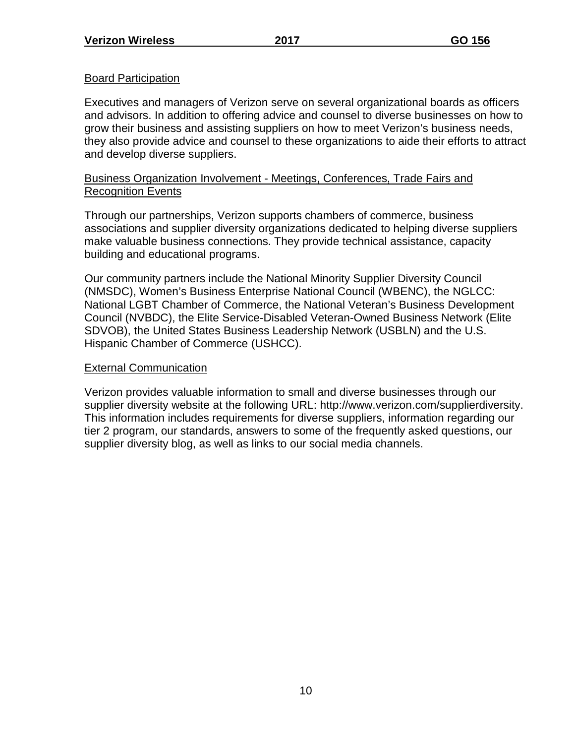### Board Participation

Executives and managers of Verizon serve on several organizational boards as officers and advisors. In addition to offering advice and counsel to diverse businesses on how to grow their business and assisting suppliers on how to meet Verizon's business needs, they also provide advice and counsel to these organizations to aide their efforts to attract and develop diverse suppliers.

#### Business Organization Involvement - Meetings, Conferences, Trade Fairs and Recognition Events

Through our partnerships, Verizon supports chambers of commerce, business associations and supplier diversity organizations dedicated to helping diverse suppliers make valuable business connections. They provide technical assistance, capacity building and educational programs.

Our community partners include the National Minority Supplier Diversity Council (NMSDC), Women's Business Enterprise National Council (WBENC), the NGLCC: National LGBT Chamber of Commerce, the National Veteran's Business Development Council (NVBDC), the Elite Service-Disabled Veteran-Owned Business Network (Elite SDVOB), the United States Business Leadership Network (USBLN) and the U.S. Hispanic Chamber of Commerce (USHCC).

## External Communication

Verizon provides valuable information to small and diverse businesses through our supplier diversity website at the following URL: http://www.verizon.com/supplierdiversity. This information includes requirements for diverse suppliers, information regarding our tier 2 program, our standards, answers to some of the frequently asked questions, our supplier diversity blog, as well as links to our social media channels.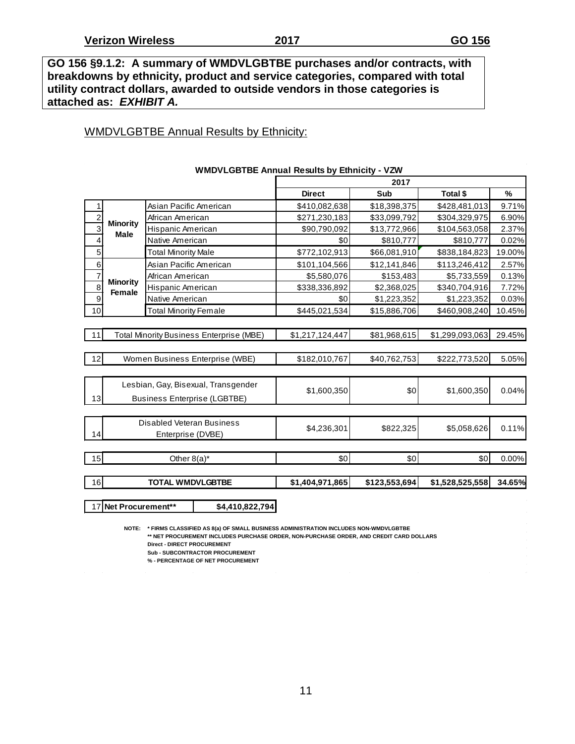**GO 156 §9.1.2: A summary of WMDVLGBTBE purchases and/or contracts, with breakdowns by ethnicity, product and service categories, compared with total utility contract dollars, awarded to outside vendors in those categories is attached as:** *EXHIBIT A.*

#### WMDVLGBTBE Annual Results by Ethnicity:

|                           |                                  | WMDVLGBTBE Annual Results by Ethnicity - VZW |                 |               |                 |        |
|---------------------------|----------------------------------|----------------------------------------------|-----------------|---------------|-----------------|--------|
|                           |                                  |                                              |                 | 2017          |                 |        |
|                           |                                  |                                              | <b>Direct</b>   | Sub           | Total \$        | %      |
| 1                         |                                  | Asian Pacific American                       | \$410,082,638   | \$18,398,375  | \$428,481,013   | 9.71%  |
| $\overline{c}$            |                                  | African American                             | \$271,230,183   | \$33,099,792  | \$304,329,975   | 6.90%  |
| $\overline{\overline{3}}$ | <b>Minority</b><br><b>Male</b>   | Hispanic American                            | \$90,790,092    | \$13,772,966  | \$104,563,058   | 2.37%  |
| 4                         |                                  | Native American                              | \$0             | \$810,777     | \$810,777       | 0.02%  |
| 5                         |                                  | <b>Total Minority Male</b>                   | \$772,102,913   | \$66,081,910  | \$838,184,823   | 19.00% |
| $\,6$                     |                                  | Asian Pacific American                       | \$101,104,566   | \$12,141,846  | \$113,246,412   | 2.57%  |
| $\overline{7}$            |                                  | African American                             | \$5,580,076     | \$153,483     | \$5,733,559     | 0.13%  |
| $\overline{8}$            | <b>Minority</b><br><b>Female</b> | Hispanic American                            | \$338,336,892   | \$2,368,025   | \$340,704,916   | 7.72%  |
| $\overline{9}$            |                                  | Native American                              | \$0             | \$1,223,352   | \$1,223,352     | 0.03%  |
| 10                        |                                  | <b>Total Minority Female</b>                 | \$445,021,534   | \$15,886,706  | \$460,908,240   | 10.45% |
|                           |                                  |                                              |                 |               |                 |        |
| 11                        |                                  | Total Minority Business Enterprise (MBE)     | \$1,217,124,447 | \$81,968,615  | \$1,299,093,063 | 29.45% |
|                           |                                  |                                              |                 |               |                 |        |
| 12                        |                                  | Women Business Enterprise (WBE)              | \$182,010,767   | \$40,762,753  | \$222,773,520   | 5.05%  |
|                           |                                  |                                              |                 |               |                 |        |
|                           |                                  | Lesbian, Gay, Bisexual, Transgender          |                 |               |                 |        |
| 13                        |                                  |                                              | \$1,600,350     | \$0           | \$1,600,350     | 0.04%  |
|                           |                                  | <b>Business Enterprise (LGBTBE)</b>          |                 |               |                 |        |
|                           |                                  |                                              |                 |               |                 |        |
| 14                        |                                  | <b>Disabled Veteran Business</b>             | \$4,236,301     | \$822,325     | \$5,058,626     | 0.11%  |
|                           |                                  | Enterprise (DVBE)                            |                 |               |                 |        |
|                           |                                  |                                              |                 |               |                 |        |
| 15                        |                                  | Other $8(a)^*$                               | \$0             | \$0           | \$0             | 0.00%  |
| 16                        |                                  | <b>TOTAL WMDVLGBTBE</b>                      | \$1,404,971,865 | \$123,553,694 | \$1,528,525,558 | 34.65% |
|                           |                                  |                                              |                 |               |                 |        |
|                           | 17 Net Procurement**             | \$4,410,822,794                              |                 |               |                 |        |
|                           |                                  |                                              |                 |               |                 |        |

#### **WMDVLGBTBE Annual Results by Ethnicity - VZW**

**NOTE: \* FIRMS CLASSIFIED AS 8(a) OF SMALL BUSINESS ADMINISTRATION INCLUDES NON-WMDVLGBTBE \*\* NET PROCUREMENT INCLUDES PURCHASE ORDER, NON-PURCHASE ORDER, AND CREDIT CARD DOLLARS Direct - DIRECT PROCUREMENT Sub - SUBCONTRACTOR PROCUREMENT**

**% - PERCENTAGE OF NET PROCUREMENT**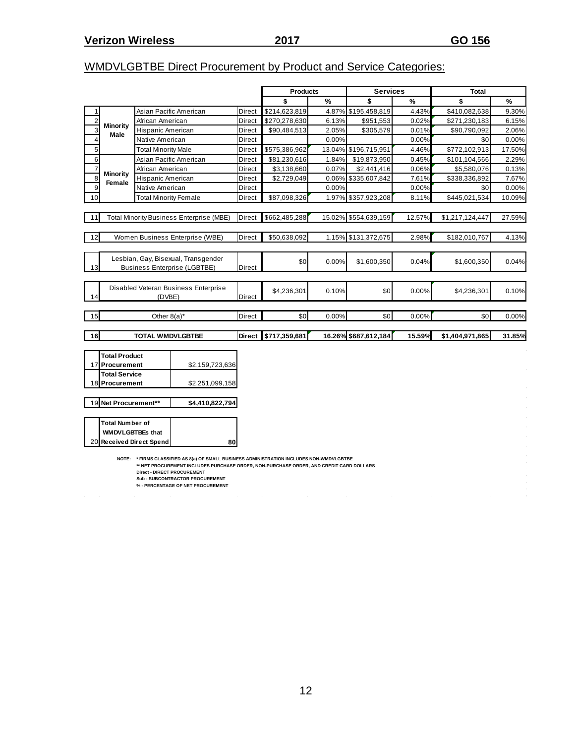$\mathcal{L}^{\text{max}}_{\text{max}}$ 

## WMDVLGBTBE Direct Procurement by Product and Service Categories:

|                         |                              |                              |                                                                                                                                                                                                                                                                                                           |               | <b>Products</b> |               | <b>Services</b>      |        | <b>Total</b>    |        |
|-------------------------|------------------------------|------------------------------|-----------------------------------------------------------------------------------------------------------------------------------------------------------------------------------------------------------------------------------------------------------------------------------------------------------|---------------|-----------------|---------------|----------------------|--------|-----------------|--------|
|                         |                              |                              |                                                                                                                                                                                                                                                                                                           |               | \$              | $\frac{9}{6}$ | \$                   | %      | \$              | %      |
| 1                       |                              |                              | Asian Pacific American                                                                                                                                                                                                                                                                                    | Direct        | \$214,623,819   |               | 4.87% \$195,458,819  | 4.43%  | \$410,082,638   | 9.30%  |
| $\overline{2}$          |                              | African American             |                                                                                                                                                                                                                                                                                                           | Direct        | \$270,278,630   | 6.13%         | \$951,553            | 0.02%  | \$271,230,183   | 6.15%  |
| 3                       | Minority                     | Hispanic American            |                                                                                                                                                                                                                                                                                                           | Direct        | \$90,484,513    | 2.05%         | \$305,579            | 0.01%  | \$90,790,092    | 2.06%  |
| $\overline{\mathbf{4}}$ | <b>Male</b>                  | Native American              |                                                                                                                                                                                                                                                                                                           | Direct        |                 | 0.00%         |                      | 0.00%  | \$0             | 0.00%  |
| 5                       |                              | <b>Total Minority Male</b>   |                                                                                                                                                                                                                                                                                                           | Direct        | \$575,386,962   |               | 13.04% \$196,715,951 | 4.46%  | \$772,102,913   | 17.50% |
| 6                       |                              |                              | Asian Pacific American                                                                                                                                                                                                                                                                                    | Direct        | \$81,230,616    | 1.84%         | \$19,873,950         | 0.45%  | \$101,104,566   | 2.29%  |
| $\overline{7}$          |                              | African American             |                                                                                                                                                                                                                                                                                                           | Direct        | \$3,138,660     | 0.07%         | \$2,441,416          | 0.06%  | \$5,580,076     | 0.13%  |
| 8                       | <b>Minority</b>              | Hispanic American            |                                                                                                                                                                                                                                                                                                           | Direct        | \$2,729,049     |               | 0.06% \$335,607,842  | 7.61%  | \$338,336,892   | 7.67%  |
| 9                       | Female                       | Native American              |                                                                                                                                                                                                                                                                                                           | Direct        |                 | 0.00%         |                      | 0.00%  | \$0             | 0.00%  |
| 10                      |                              | <b>Total Minority Female</b> |                                                                                                                                                                                                                                                                                                           | Direct        | \$87,098,326    |               | 1.97% \$357,923,208  | 8.11%  | \$445,021,534   | 10.09% |
|                         |                              |                              |                                                                                                                                                                                                                                                                                                           |               |                 |               |                      |        |                 |        |
| 11                      |                              |                              | <b>Total Minority Business Enterprise (MBE)</b>                                                                                                                                                                                                                                                           | Direct        | \$662,485,288   |               | 15.02% \$554,639,159 | 12.57% | \$1,217,124,447 | 27.59% |
|                         |                              |                              |                                                                                                                                                                                                                                                                                                           |               |                 |               |                      |        |                 |        |
| 12                      |                              |                              | Women Business Enterprise (WBE)                                                                                                                                                                                                                                                                           | <b>Direct</b> | \$50,638,092    |               | 1.15% \$131,372,675  | 2.98%  | \$182,010,767   | 4.13%  |
|                         |                              |                              |                                                                                                                                                                                                                                                                                                           |               |                 |               |                      |        |                 |        |
|                         |                              |                              | Lesbian, Gay, Bisexual, Transgender                                                                                                                                                                                                                                                                       |               |                 |               |                      |        |                 |        |
| 13                      |                              |                              | <b>Business Enterprise (LGBTBE)</b>                                                                                                                                                                                                                                                                       | <b>Direct</b> | \$0             | 0.00%         | \$1,600,350          | 0.04%  | \$1,600,350     | 0.04%  |
|                         |                              |                              |                                                                                                                                                                                                                                                                                                           |               |                 |               |                      |        |                 |        |
|                         |                              |                              | Disabled Veteran Business Enterprise                                                                                                                                                                                                                                                                      |               | \$4,236,301     | 0.10%         | \$0                  | 0.00%  | \$4,236,301     | 0.10%  |
| 14                      |                              | (DVBE)                       |                                                                                                                                                                                                                                                                                                           | Direct        |                 |               |                      |        |                 |        |
|                         |                              |                              |                                                                                                                                                                                                                                                                                                           |               |                 |               |                      |        |                 |        |
| 15                      |                              | Other $8(a)^*$               |                                                                                                                                                                                                                                                                                                           | Direct        | \$0             | 0.00%         | \$0                  | 0.00%  | \$0             | 0.00%  |
|                         |                              |                              |                                                                                                                                                                                                                                                                                                           |               |                 |               |                      |        |                 |        |
| 16                      |                              | <b>TOTAL WMDVLGBTBE</b>      |                                                                                                                                                                                                                                                                                                           | <b>Direct</b> | \$717,359,681   |               | 16.26% \$687,612,184 | 15.59% | \$1,404,971,865 | 31.85% |
|                         |                              |                              |                                                                                                                                                                                                                                                                                                           |               |                 |               |                      |        |                 |        |
|                         | <b>Total Product</b>         |                              |                                                                                                                                                                                                                                                                                                           |               |                 |               |                      |        |                 |        |
|                         | 17 Procurement               |                              | \$2,159,723,636                                                                                                                                                                                                                                                                                           |               |                 |               |                      |        |                 |        |
|                         | <b>Total Service</b>         |                              |                                                                                                                                                                                                                                                                                                           |               |                 |               |                      |        |                 |        |
|                         | 18 Procurement               |                              | \$2,251,099,158                                                                                                                                                                                                                                                                                           |               |                 |               |                      |        |                 |        |
|                         |                              |                              |                                                                                                                                                                                                                                                                                                           |               |                 |               |                      |        |                 |        |
|                         | 19 Net Procurement**         |                              | \$4,410,822,794                                                                                                                                                                                                                                                                                           |               |                 |               |                      |        |                 |        |
|                         |                              |                              |                                                                                                                                                                                                                                                                                                           |               |                 |               |                      |        |                 |        |
|                         | <b>Total Number of</b>       |                              |                                                                                                                                                                                                                                                                                                           |               |                 |               |                      |        |                 |        |
|                         | <b>WMDVLGBTBEs that</b>      |                              |                                                                                                                                                                                                                                                                                                           |               |                 |               |                      |        |                 |        |
| <b>20</b>               | <b>Received Direct Spend</b> |                              | 80                                                                                                                                                                                                                                                                                                        |               |                 |               |                      |        |                 |        |
|                         |                              |                              | NOTE: * FIRMS CLASSIFIED AS 8(a) OF SMALL BUSINESS ADMINISTRATION INCLUDES NON-WMDVLGBTBE<br>** NET PROCUREMENT INCLUDES PURCHASE ORDER, NON-PURCHASE ORDER, AND CREDIT CARD DOLLARS<br><b>Direct - DIRECT PROCUREMENT</b><br><b>Sub - SUBCONTRACTOR PROCUREMENT</b><br>% - PERCENTAGE OF NET PROCUREMENT |               |                 |               |                      |        |                 |        |

12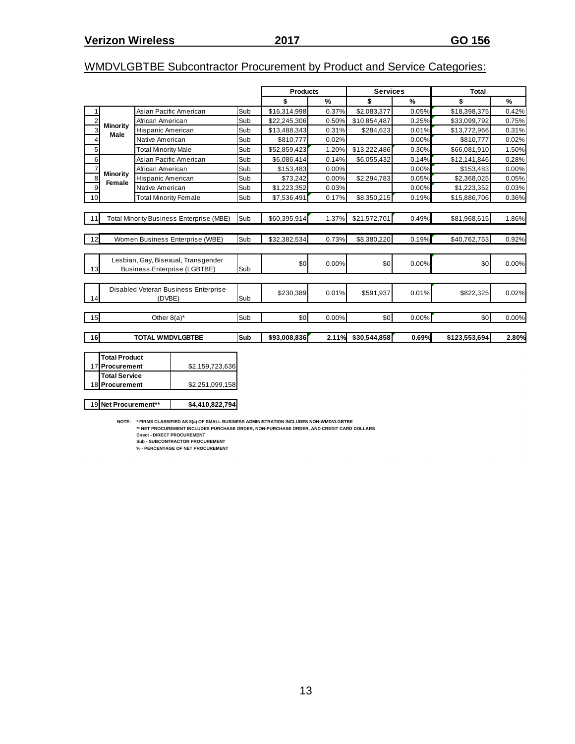## WMDVLGBTBE Subcontractor Procurement by Product and Service Categories:

|                         |                         |                              |                                                                                                                                                                                      |     | <b>Products</b> |       | <b>Services</b> |               | <b>Total</b>  |       |  |  |  |
|-------------------------|-------------------------|------------------------------|--------------------------------------------------------------------------------------------------------------------------------------------------------------------------------------|-----|-----------------|-------|-----------------|---------------|---------------|-------|--|--|--|
|                         |                         |                              |                                                                                                                                                                                      |     | \$              | %     | \$              | $\frac{9}{6}$ | \$            | %     |  |  |  |
| $\mathbf{1}$            |                         |                              | Asian Pacific American                                                                                                                                                               | Sub | \$16,314,998    | 0.37% | \$2,083,377     | 0.05%         | \$18,398,375  | 0.42% |  |  |  |
| $\boldsymbol{2}$        |                         | African American             |                                                                                                                                                                                      | Sub | \$22,245,306    | 0.50% | \$10,854,487    | 0.25%         | \$33,099,792  | 0.75% |  |  |  |
| 3                       | <b>Minority</b><br>Male | Hispanic American            |                                                                                                                                                                                      | Sub | \$13,488,343    | 0.31% | \$284,623       | 0.01%         | \$13,772,966  | 0.31% |  |  |  |
| $\overline{\mathbf{4}}$ |                         | Native American              |                                                                                                                                                                                      | Sub | \$810,777       | 0.02% |                 | 0.00%         | \$810,777     | 0.02% |  |  |  |
| 5                       |                         | <b>Total Minority Male</b>   |                                                                                                                                                                                      | Sub | \$52,859,423    | 1.20% | \$13,222,486    | 0.30%         | \$66,081,910  | 1.50% |  |  |  |
| $6\phantom{a}$          |                         |                              | Asian Pacific American                                                                                                                                                               | Sub | \$6,086,414     | 0.14% | \$6,055,432     | 0.14%         | \$12,141,846  | 0.28% |  |  |  |
| $\overline{7}$          | <b>Minority</b>         | African American             |                                                                                                                                                                                      | Sub | \$153,483       | 0.00% |                 | 0.00%         | \$153,483     | 0.00% |  |  |  |
| 8                       | Female                  | Hispanic American            |                                                                                                                                                                                      | Sub | \$73,242        | 0.00% | \$2,294,783     | 0.05%         | \$2,368,025   | 0.05% |  |  |  |
| 9                       |                         | Native American              |                                                                                                                                                                                      | Sub | \$1,223,352     | 0.03% |                 | 0.00%         | \$1,223,352   | 0.03% |  |  |  |
| 10                      |                         | <b>Total Minority Female</b> |                                                                                                                                                                                      | Sub | \$7,536,491     | 0.17% | \$8,350,215     | 0.19%         | \$15,886,706  | 0.36% |  |  |  |
|                         |                         |                              |                                                                                                                                                                                      |     |                 |       |                 |               |               |       |  |  |  |
| 11                      |                         |                              | <b>Total Minority Business Enterprise (MBE)</b>                                                                                                                                      | Sub | \$60,395,914    | 1.37% | \$21,572,701    | 0.49%         | \$81,968,615  | 1.86% |  |  |  |
|                         |                         |                              |                                                                                                                                                                                      |     |                 |       |                 |               |               |       |  |  |  |
| 12                      |                         |                              | Women Business Enterprise (WBE)                                                                                                                                                      | Sub | \$32,382,534    | 0.73% | \$8,380,220     | 0.19%         | \$40,762,753  | 0.92% |  |  |  |
|                         |                         |                              |                                                                                                                                                                                      |     |                 |       |                 |               |               |       |  |  |  |
|                         |                         |                              | Lesbian, Gay, Bisexual, Transgender                                                                                                                                                  |     |                 |       |                 |               |               |       |  |  |  |
| 13                      |                         |                              | <b>Business Enterprise (LGBTBE)</b>                                                                                                                                                  | Sub | \$0             | 0.00% | \$0             | 0.00%         | \$0           | 0.00% |  |  |  |
|                         |                         |                              |                                                                                                                                                                                      |     |                 |       |                 |               |               |       |  |  |  |
|                         |                         |                              | Disabled Veteran Business Enterprise                                                                                                                                                 |     | \$230,389       | 0.01% | \$591,937       | 0.01%         | \$822,325     |       |  |  |  |
| 14                      |                         | (DVBE)                       |                                                                                                                                                                                      | Sub |                 |       |                 |               |               | 0.02% |  |  |  |
|                         |                         |                              |                                                                                                                                                                                      |     |                 |       |                 |               |               |       |  |  |  |
| 15                      |                         | Other $8(a)^*$               |                                                                                                                                                                                      | Sub | \$0             | 0.00% | \$0             | 0.00%         | \$0           | 0.00% |  |  |  |
|                         |                         |                              |                                                                                                                                                                                      |     |                 |       |                 |               |               |       |  |  |  |
| 16                      |                         | <b>TOTAL WMDVLGBTBE</b>      |                                                                                                                                                                                      | Sub | \$93,008,836    | 2.11% | \$30,544,858    | 0.69%         | \$123,553,694 | 2.80% |  |  |  |
|                         |                         |                              |                                                                                                                                                                                      |     |                 |       |                 |               |               |       |  |  |  |
|                         | <b>Total Product</b>    |                              |                                                                                                                                                                                      |     |                 |       |                 |               |               |       |  |  |  |
|                         | 17 Procurement          |                              | \$2,159,723,636                                                                                                                                                                      |     |                 |       |                 |               |               |       |  |  |  |
|                         | <b>Total Service</b>    |                              |                                                                                                                                                                                      |     |                 |       |                 |               |               |       |  |  |  |
|                         | 18 Procurement          |                              | \$2,251,099,158                                                                                                                                                                      |     |                 |       |                 |               |               |       |  |  |  |
|                         |                         |                              |                                                                                                                                                                                      |     |                 |       |                 |               |               |       |  |  |  |
|                         | 19 Net Procurement**    |                              | \$4,410,822,794                                                                                                                                                                      |     |                 |       |                 |               |               |       |  |  |  |
|                         |                         |                              |                                                                                                                                                                                      |     |                 |       |                 |               |               |       |  |  |  |
|                         |                         |                              | NOTE: * FIRMS CLASSIFIED AS 8(a) OF SMALL BUSINESS ADMINISTRATION INCLUDES NON-WMDVLGBTBE<br>** NET PROCUREMENT INCLUDES PURCHASE ORDER, NON-PURCHASE ORDER, AND CREDIT CARD DOLLARS |     |                 |       |                 |               |               |       |  |  |  |
|                         |                         |                              | Direct - DIRECT PROCUREMENT                                                                                                                                                          |     |                 |       |                 |               |               |       |  |  |  |

**Sub - SUBCONTRACTOR PROCUREMENT**

**% - PERCENTAGE OF NET PROCUREMENT**  $\sim 10^{-1}$  $\sim 10^{-1}$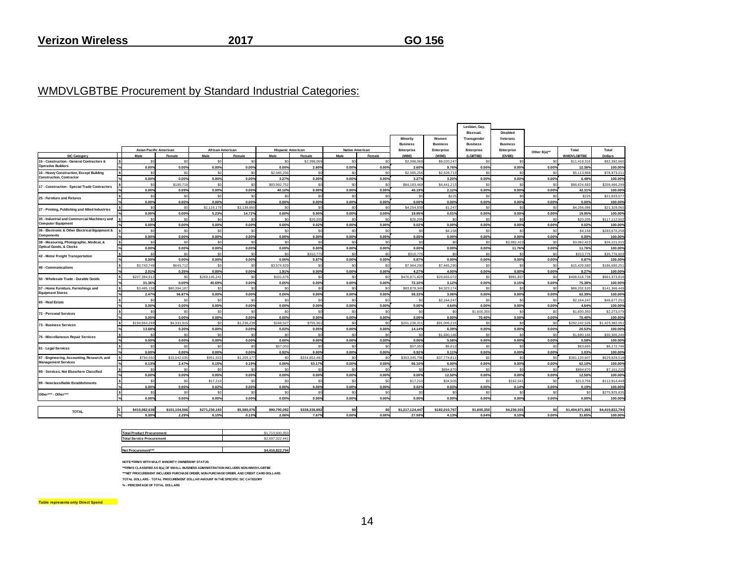#### WMDVLGBTBE Procurement by Standard Industrial Categories:

|                                                                                |                         |                               |                         |             |                          |                 |                        |                |                             |                          | Lesbian, Gay,<br>Bisexual.     | <b>Disabled</b>             |                      |                       |                        |
|--------------------------------------------------------------------------------|-------------------------|-------------------------------|-------------------------|-------------|--------------------------|-----------------|------------------------|----------------|-----------------------------|--------------------------|--------------------------------|-----------------------------|----------------------|-----------------------|------------------------|
|                                                                                |                         |                               |                         |             |                          |                 |                        |                | Minority<br><b>Business</b> | Women<br><b>Business</b> | Transgender<br><b>Business</b> | Veterans<br><b>Business</b> |                      |                       |                        |
|                                                                                |                         | <b>Asian Pacific American</b> | <b>African American</b> |             | <b>Hispanic American</b> |                 | <b>Native American</b> |                | Enterprise                  | Enterprise               | Enterprise                     | Enterprise                  | Other 8(a)**         | Total                 | Total                  |
| <b>SIC Category</b>                                                            | Male                    | Female                        | Male                    | Female      | Male                     | Female          | Male                   | Female         | (MBE)                       | (WBE)                    | (LGBTBE)                       | (DVBE)                      |                      | <b>WMDVLGBTBE</b>     | <b>Dollars</b>         |
| 15 - Construction - General Contractors &                                      | SC                      | SC                            | \$ſ                     | \$0         | \$0                      | \$2,398,069     | \$ſ                    | \$0            | \$2,398,069                 | \$9,020,247              | -SG                            | - Sr                        | \$0                  | \$11,418,316          | \$92,382,66            |
| <b>Operative Builders</b>                                                      | 0.00%                   | 0.00%                         | 0.00%                   | 0.00%       | 0.00%                    | 2.60%           | 0.00%                  | 0.00%          | 2.60%                       | 9.76%                    | 0.00%                          | 0.00%                       | 0.00%                | 12.36%                | 100.00%                |
| 16 - Heavy Construction, Except Building                                       | S                       | $\epsilon$                    | \$0                     | \$0         | \$2,585,256              | sr.             | \$0                    | \$0            | \$2,585,256                 | \$2,528,713              | $\mathfrak{m}$                 | \$n                         | \$0                  | \$5,113,968           | \$78,973,01            |
| <b>Construction, Contractor</b>                                                | 0.00%                   | 0.00%                         | 0.00%                   | 0.00%       | 3.27%                    | 0.00%           | 0.00%                  | 0.00%          | 3.27%                       | 3.20%                    | 0.00%                          | 0.00%                       | 0.00%                | 6.48%                 | 100.00%                |
| 17 - Construction - Special Trade Contractors                                  | S <sub>0</sub>          | \$190.71                      | \$0                     | \$0         | \$83,992,752             | S <sub>0</sub>  | \$0                    | \$0            | \$84,183,469                | \$4,441,213              | \$0                            | \$0                         | \$0                  | \$88,624,683          | \$209,466.29           |
|                                                                                | 0.00%                   | 0.09%                         | 0.00%                   | 0.00%       | 40.10%                   | 0.00%           | 0.00%                  | 0.00%          | 40.19%                      | 2.12%                    | 0.00%                          | 0.00%                       | 0.00%                | 42.31%                | 100,009                |
| 25 - Furniture and Fixtures                                                    | \$0                     | <b>SC</b>                     | \$0                     | \$0         | \$0                      | S <sub>0</sub>  | \$0                    | \$0            | \$0                         | \$225                    | \$0                            | \$0                         | \$0                  | \$22                  | \$21,833,57            |
|                                                                                | 0.00%                   | 0.00%                         | 0.00%                   | 0.00%       | 0.00%                    | 0.00%           | 0.00%                  | 0.00%          | 0.00%                       | 0.00%                    | 0.00%                          | 0.00%                       | 0.00%                | 0.00%                 | 100.00%                |
| 27 - Printing, Publishing and Allied Industries                                | S <sub>0</sub>          | SC                            | \$1,116,179             | \$3,138,660 | \$0                      | \$0             | \$0                    | sol            | \$4,254,839                 | \$1,247                  | \$0                            | \$0                         | \$0                  | \$4,256,086           | \$21,329,06            |
|                                                                                | 0.00%                   | 0.00%                         | 5.23%                   | 14.72%      | 0.00%                    | 0.00%           | 0.00%                  | 0.00%          | 19.95%                      | 0.01%                    | 0.00%                          | 0.00%                       | 0.00%                | 19.95%                | 100.00%                |
| 35 - Industrial and Commercial Machinery and                                   | \$0                     | SC                            | \$0                     | \$0         | \$0                      | \$20,205        | \$ſ                    | \$0            | \$20,205                    | S <sub>0</sub>           | \$0                            | \$n                         | \$0                  | \$20,205              | \$117.112.50           |
| <b>Computer Equipment</b>                                                      | 0.00%                   | 0.00%                         | 0.00%                   | 0.00%       | 0.00%                    | 0.02%           | 0.00%                  | 0.00%          | 0.02%                       | 0.00%                    | 0.00%                          | 0.00%                       | 0.00%                | 0.02%                 | 100.00%                |
| 36 - Electronic & Other Electrical Equipment &                                 | $\epsilon$              | S.                            | ۰                       | \$ſ         | \$0                      | sr.             | ۹ď                     | ۹r             | \$ſ                         | \$4,158                  |                                |                             | $\tilde{\mathbf{x}}$ | \$4,158               | \$283.670.25           |
| Components                                                                     | 0.00%                   | 0.00%                         | 0.00%                   | 0.00%       | 0.00%                    | 0.00%           | 0.00%                  | 0.00%          | 0.00%                       | 0.00%                    | 0.00%                          | 0.00%                       | 0.00%                | 0.00%                 | 100.00%                |
| 38 - Measuring, Photographic, Medical, &<br><b>Optical Goods, &amp; Clocks</b> | \$0                     | S <sub>0</sub>                | \$0                     | \$0         | \$0                      | S <sub>0</sub>  | \$C                    | \$0            | \$0                         | S <sub>0</sub>           | \$0                            | \$3,082.42                  | \$0                  | \$3,082.423           | \$26,221.91            |
|                                                                                | 0.00%                   | 0.00%                         | 0.00%                   | 0.00%       | 0.00%                    | 0.00%           | 0.00%                  | 0.00%          | 0.00%                       | 0.00%                    | 0.00%                          | 11.76%                      | 0.00%                | 11.76%                | 100.00%                |
| 42 - Motor Freight Transportation                                              | S <sub>0</sub>          | S <sub>0</sub>                | \$0                     | \$0         | \$0                      | \$310,775       | \$0                    | sol            | \$310,775                   | <sub>so</sub>            | \$0                            | \$0                         | \$0                  | \$310,775             | \$35,776.60            |
|                                                                                | 0.00%                   | 0.00%                         | 0.00%                   | 0.00%       | 0.00%                    | 0.87%           | 0.00%                  | 0.00%          | 0.87%                       | 0.00%                    | 0.00%                          | 0.00%                       | 0.00%                | 0.87%                 | 100.00%                |
| 48 - Communications                                                            | \$3,743,749             | \$645,71                      | \$0                     | \$0         | \$3,574,829              | S <sub>0</sub>  | \$0                    | \$0            | \$7,964,290                 | \$7,465,290              | -\$0                           | \$0                         | \$0                  | \$15,429,580          | \$186,680,25           |
|                                                                                | 2.01%                   | 0.35%                         | 0.00%                   | 0.00%       | 1.91%                    | 0.00%           | 0.00%                  | 0.00%          | 4.27%                       | 4.00%                    | 0.00%                          | 0.00%                       | 0.00%                | 8.27%                 | 100.00%                |
| 50 - Wholesale Trade - Durable Goods                                           | \$207,394.91            | S)                            | \$269.145.241           | so          | \$331,676                | \$0             | \$0                    | \$0            | \$476,871,829               | \$20,655,072             | \$0                            | \$991.837                   | - \$0                | \$498,518,738         | \$661,373,816          |
|                                                                                | 31.36%                  | 0.00%                         | 40.69%                  | 0.00%       | 0.05%                    | 0.00%<br>sr.    | 0.00%                  | 0.00%          | 72.10%                      | 3.12%                    | 0.00%                          | 0.15%                       | 0.00%                | 75.38%                | 100.00%                |
| 57 - Home Furniture, Furnishings and<br><b>Equipment Stores</b>                | \$3,485.15              | \$80,394.187                  | \$C                     | \$0         | \$0                      |                 | \$ſ                    | \$0            | \$83,879,345                | \$4,323,174              | \$0                            | \$0                         | SO                   | \$88,202,520          | \$141.366.449          |
|                                                                                | 2.47%<br>S <sub>0</sub> | 56.87°<br>S0                  | 0.00%<br>\$0            | 0.00%<br>so | 0.00%<br>\$0             | 0.00%<br>\$0    | 0.00%<br>\$0           | 0.00%<br>\$0   | 59.33%<br>\$0               | 3.06%<br>\$2,164,247     | 0.00%<br>\$0                   | 0.00%<br>\$0                | 0.00%<br>\$0         | 62.39%<br>\$2,164,247 | 100.00%<br>\$46,677.25 |
| 65 - Real Estate                                                               | 0.00%                   | 0.00%                         | 0.00%                   | 0.00%       | 0.00%                    | 0.00%           | 0.00%                  | 0.00%          | 0.00%                       | 4.64%                    | 0.00%                          | 0.00%                       | 0.00%                | 4.64%                 | 100,009                |
|                                                                                | \$0                     | S                             | \$0                     | \$0         | \$0                      | S <sub>0</sub>  | \$0                    | \$0            | \$0                         | <sub>so</sub>            | \$1,600,350                    | \$0                         | \$0                  | \$1,600,350           | \$2,273.07             |
| 72 - Personal Services                                                         | 0.00%                   | 0.00%                         | 0.00%                   | 0.00%       | 0.00%                    | 0.00%           | 0.00%                  | 0.00%          | 0.00%                       | 0.00%                    | 70.40%                         | 0.00%                       | 0.00%                | 70.40%                | 100.00                 |
|                                                                                | \$194,664,269           | \$4,331.91                    | \$0                     | \$1,236,239 | \$248,527                | \$755.361       | \$0                    | s <sub>0</sub> | \$201.236.311               | \$91,006,215             | \$0                            | \$0                         | \$0                  | \$292,242,526         | \$1,423,382,05         |
| 73 - Business Services                                                         | 13.68%                  | 0.30%                         | 0.00%                   | 0.09%       | 0.02%                    | 0.05%           | 0.00%                  | 0.00%          | 14.14%                      | 6.39%                    | 0.00%                          | 0.00%                       | 0.00%                | 20.53%                | 100.00%                |
|                                                                                | SC                      | St                            | \$0                     | \$0         | \$0                      | SO <sub>1</sub> | \$ſ                    | \$0            | s                           | \$1,690,166              | \$0                            | \$0                         | \$0                  | \$1,690,166           | \$30,300,24            |
| 76 - Miscellaneous Repair Services                                             | 0.00%                   | 0.00%                         | 0.00%                   | 0.00%       | 0.00%                    | 0.00%           | 0.00%                  | 0.00%          | 0.00%                       | 5.58%                    | 0.00%                          | 0.00%                       | 0.00%                | 5.58%                 | 100.00%                |
|                                                                                | S)                      | S.                            | \$ſ                     | SO.         | \$57.053                 | s.              | \$ſ                    | \$0            | \$57,053                    | \$6,613                  | ۰                              | $\mathcal{L}$               | $\tilde{\mathbf{x}}$ | \$63,665              | \$6,172,746            |
| 81 - Legal Services                                                            | 0.00%                   | 0.00%                         | 0.00%                   | 0.00%       | 0.92%                    | 0.00%           | 0.00%                  | 0.00%          | 0.92%                       | 0.11%                    | 0.00%                          | 0.00%                       | 0.00%                | 1.03%                 | 100.00%                |
| 87 - Engineering, Accounting, Research, and                                    | \$794,550               | \$15,542.03                   | \$951.55                | \$1,205,177 | \$0                      | \$334,852,481   | \$0                    | \$0            | \$353,345,796               | \$37,774.81              | \$0                            | \$0                         | SO                   | \$391,120,607         | \$629,829.51           |
| <b>Management Services</b>                                                     | 0.13%                   | 2.47%                         | 0.15%                   | 0.19%       | 0.00%                    | 53.17%          | 0.00%                  | 0.00%          | 56.10%                      | 6.00%                    | 0.00%                          | 0.00%                       | 0.00%                | 62.10%                | 100,009                |
|                                                                                | \$0                     | S <sub>0</sub>                | \$0                     | \$0         | \$0                      | S <sub>0</sub>  | \$0                    | \$0            | \$0                         | \$894,870                | $\mathsf{S}$                   | \$0                         | \$0                  | \$894,870             | \$7,161.22             |
| 89 - Services, Not Elsewhere Classified                                        | 0.00%                   | 0.00%                         | 0.00%                   | 0.00%       | 0.00%                    | 0.00%           | 0.00%                  | 0.00%          | 0.00%                       | 12.50%                   | 0.00%                          | 0.00%                       | 0.00%                | 12.50%                | 100.00%                |
|                                                                                | \$0                     | S <sub>0</sub>                | \$17,210                | \$0         | \$0                      | S <sub>0</sub>  | \$0                    | \$0            | \$17,210                    | \$34,505                 | \$0                            | \$162,041                   | \$0                  | \$213,756             | \$112,914,44           |
| 99 - Nonclassifiable Establishments                                            | 0.00%                   | 0.00%                         | 0.02%                   | 0.00%       | 0.00%                    | 0.00%           | 0.00%                  | 0.00%          | 0.02%                       | 0.03%                    | 0.00%                          | 0.14%                       | 0.00%                | 0.19%                 | 100.00%                |
|                                                                                | S <sub>0</sub>          | \$0                           | \$0                     | \$0         | \$0                      | \$0             | \$0                    | \$0            | \$0                         | S <sub>0</sub>           | \$0                            | \$0                         | \$0                  | \$0                   | \$275.925.83           |
| Other*** - Other***                                                            | 0.00%                   | 0.00%                         | 0.00%                   | 0.00%       | 0.00%                    | 0.00%           | 0.00%                  | 0.00%          | 0.00%                       | 0.00%                    | 0.00%                          | 0.00%                       | 0.00%                | 0.00%                 | 100.00%                |
|                                                                                |                         |                               |                         |             |                          |                 |                        |                |                             |                          |                                |                             |                      |                       |                        |
| <b>TOTAL</b>                                                                   | \$410.082.638           | \$101,104,566                 | \$271,230,183           | \$5,580,076 | \$90,790,092             | \$338,336,892   | \$0                    | sol            | \$1,217,124,447             | \$182,010,767            | \$1,600,350                    | \$4,236,301                 | \$0                  | \$1,404,971,865       | \$4,410,822,794        |
|                                                                                | 9.30%                   | 2.29%                         | 6.15%                   | 0.13%       | 2.06%                    | 7.67%           | 0.00%                  | 0.00%          | 27.59%                      | 4.13%                    | 0.04%                          | 0.10%                       | 0.00%                | 31.85%                | 100.00%                |

| <b>Total Product Procurement</b> | \$1,713,500,353 |
|----------------------------------|-----------------|
| Total Service Procurement        | \$2,697,322,441 |
|                                  |                 |
| Net Procurement***               | \$4,410,822,794 |

**NOTE:\*FIRMS WITH MULIT MINORITY OWNERSHIP STATUS**

**\*\*FIRMS CLASSIFIED AS 8(a) OF SMALL BUSINESS ADMINISTRATION INCLUDES NON-WMDVLGBTBE \*\*\*NET PROCUREMENT INCLUDES PURCHASE ORDER, NON-PURCHASE ORDER, AND CREDIT CARD DOLLARS TOTAL DOLLARS - TOTAL PROCUREMENT DOLLAR AMOUNT IN THE SPECIFIC SIC CATEGORY** 

**% - PERCENTAGE OF TOTAL DOLLARS**

**Table represents only Direct Spend**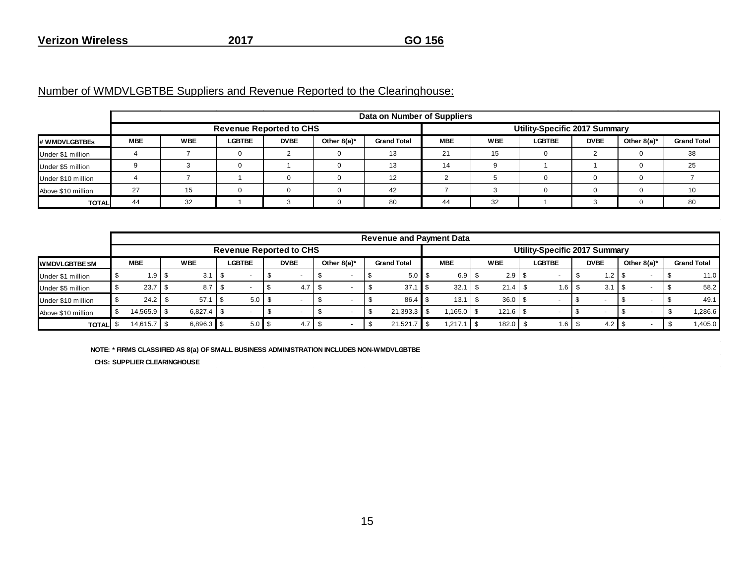Number of WMDVLGBTBE Suppliers and Revenue Reported to the Clearinghouse:

|                    |            |            |               |                                |                | Data on Number of Suppliers   |            |            |               |             |                |                    |  |
|--------------------|------------|------------|---------------|--------------------------------|----------------|-------------------------------|------------|------------|---------------|-------------|----------------|--------------------|--|
|                    |            |            |               | <b>Revenue Reported to CHS</b> |                | Utility-Specific 2017 Summary |            |            |               |             |                |                    |  |
| # WMDVLGBTBEs      | <b>MBE</b> | <b>WBE</b> | <b>LGBTBE</b> | <b>DVBE</b>                    | Other $8(a)^*$ | <b>Grand Total</b>            | <b>MBE</b> | <b>WBE</b> | <b>LGBTBE</b> | <b>DVBE</b> | Other $8(a)^*$ | <b>Grand Total</b> |  |
| Under \$1 million  |            |            |               |                                |                | 13                            | 21         | 15         |               |             |                | 38                 |  |
| Under \$5 million  |            |            |               |                                |                | 13                            |            |            |               |             |                | 25                 |  |
| Under \$10 million |            |            |               |                                |                | 10                            |            |            |               |             |                |                    |  |
| Above \$10 million | 27         | 15         |               |                                |                | 42                            |            |            |               |             |                |                    |  |
| <b>TOTAL</b>       | 44         | 32         |               |                                |                | 80                            | 44         | 32         |               |             |                | 80                 |  |

|                        | <b>Revenue and Payment Data</b> |  |              |  |                  |  |                                |  |                          |  |                     |            |                   |                               |                  |                |                    |
|------------------------|---------------------------------|--|--------------|--|------------------|--|--------------------------------|--|--------------------------|--|---------------------|------------|-------------------|-------------------------------|------------------|----------------|--------------------|
|                        |                                 |  |              |  |                  |  | <b>Revenue Reported to CHS</b> |  |                          |  |                     |            |                   | Utility-Specific 2017 Summary |                  |                |                    |
| <b>IWMDVLGBTBE \$M</b> | <b>MBE</b>                      |  | <b>WBE</b>   |  | <b>LGBTBE</b>    |  | <b>DVBE</b>                    |  | Other $8(a)^*$           |  | <b>Grand Total</b>  | <b>MBE</b> | <b>WBE</b>        | <b>LGBTBE</b>                 | <b>DVBE</b>      | Other $8(a)^*$ | <b>Grand Total</b> |
| Under \$1 million      | 1.9 <sub>1</sub>                |  | 3.1          |  |                  |  |                                |  |                          |  | 5.0 <sub>5</sub>    | 6.9        |                   |                               | 1.2 <sub>1</sub> |                | 11.0               |
| Under \$5 million      | 23.7                            |  | 8.7          |  |                  |  | 4.7                            |  | $\overline{\phantom{a}}$ |  | 37.1                | 32.1       |                   | $1.6$ I                       | 3.1              |                | 58.2               |
| Under \$10 million     | 24.2                            |  | 57.1         |  | $5.0$ S          |  |                                |  | $\overline{\phantom{a}}$ |  | $86.4$ $\sqrt{\ }}$ | 13.1       | $36.0$   \$       | $\overline{\phantom{0}}$      |                  |                | 49.1               |
| Above \$10 million     | 14,565.9                        |  | 6.827.4      |  |                  |  |                                |  |                          |  | $21,393.3$ \$       |            | $121.6$   \$      |                               |                  |                | 1,286.6            |
| <b>TOTAL</b>           | 14,615.7 \$                     |  | $6,896.3$ \$ |  | 5.0 <sup>8</sup> |  | 4.7                            |  |                          |  | 21,521.7            | 1.217.1    | $182.0$ $\mid$ \$ | $1.6$                         | 4.2              |                | 1,405.0            |

**NOTE: \* FIRMS CLASSIFIED AS 8(a) OF SMALL BUSINESS ADMINISTRATION INCLUDES NON-WMDVLGBTBE**

**CHS: SUPPLIER CLEARINGHOUSE**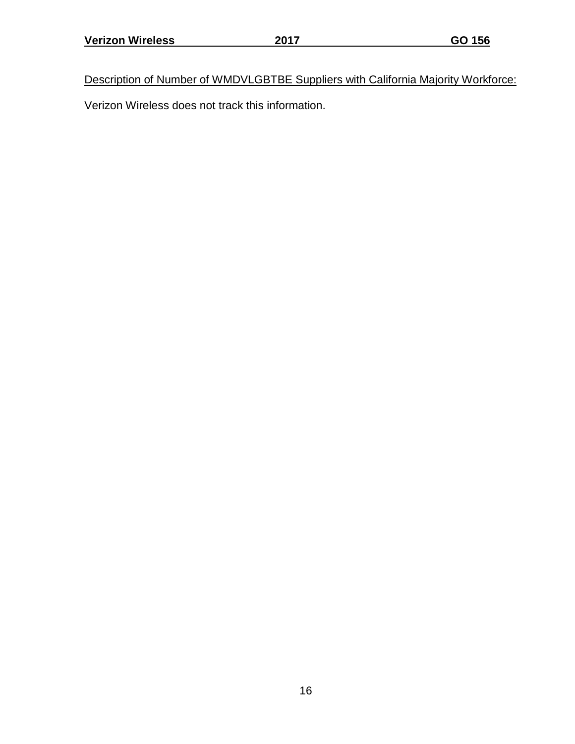Description of Number of WMDVLGBTBE Suppliers with California Majority Workforce: Verizon Wireless does not track this information.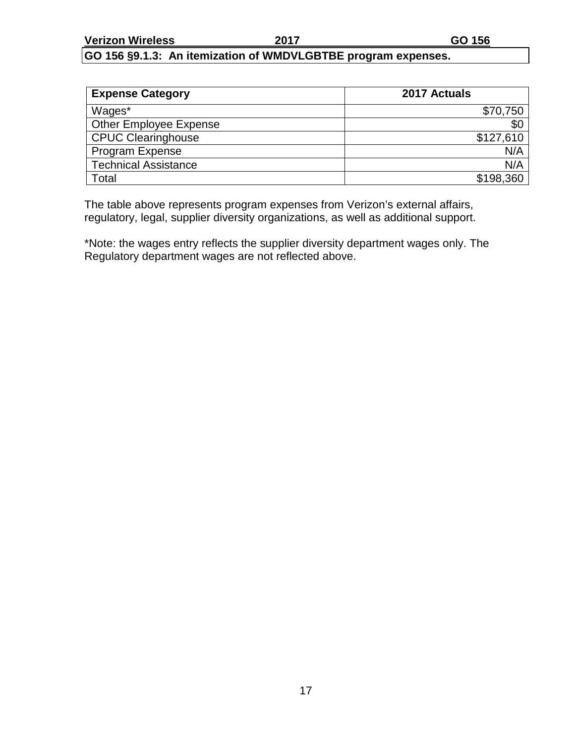#### **GO 156 §9.1.3: An itemization of WMDVLGBTBE program expenses.**

| <b>Expense Category</b>     | 2017 Actuals |
|-----------------------------|--------------|
| Wages*                      | \$70,750     |
| Other Employee Expense      | \$0          |
| <b>CPUC Clearinghouse</b>   | \$127,610    |
| Program Expense             | N/A          |
| <b>Technical Assistance</b> | N/A          |
| Total                       | \$198,360    |

The table above represents program expenses from Verizon's external affairs, regulatory, legal, supplier diversity organizations, as well as additional support.

\*Note: the wages entry reflects the supplier diversity department wages only. The Regulatory department wages are not reflected above.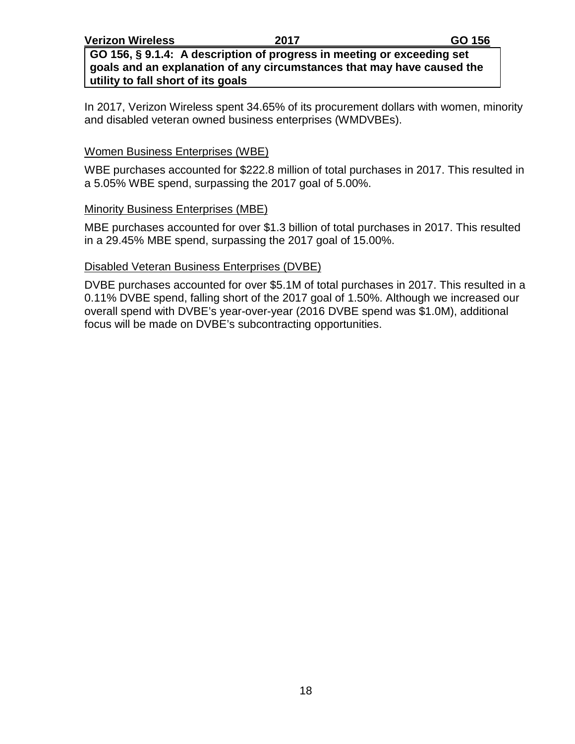**GO 156, § 9.1.4: A description of progress in meeting or exceeding set goals and an explanation of any circumstances that may have caused the utility to fall short of its goals**

In 2017, Verizon Wireless spent 34.65% of its procurement dollars with women, minority and disabled veteran owned business enterprises (WMDVBEs).

#### Women Business Enterprises (WBE)

WBE purchases accounted for \$222.8 million of total purchases in 2017. This resulted in a 5.05% WBE spend, surpassing the 2017 goal of 5.00%.

#### Minority Business Enterprises (MBE)

MBE purchases accounted for over \$1.3 billion of total purchases in 2017. This resulted in a 29.45% MBE spend, surpassing the 2017 goal of 15.00%.

#### Disabled Veteran Business Enterprises (DVBE)

DVBE purchases accounted for over \$5.1M of total purchases in 2017. This resulted in a 0.11% DVBE spend, falling short of the 2017 goal of 1.50%. Although we increased our overall spend with DVBE's year-over-year (2016 DVBE spend was \$1.0M), additional focus will be made on DVBE's subcontracting opportunities.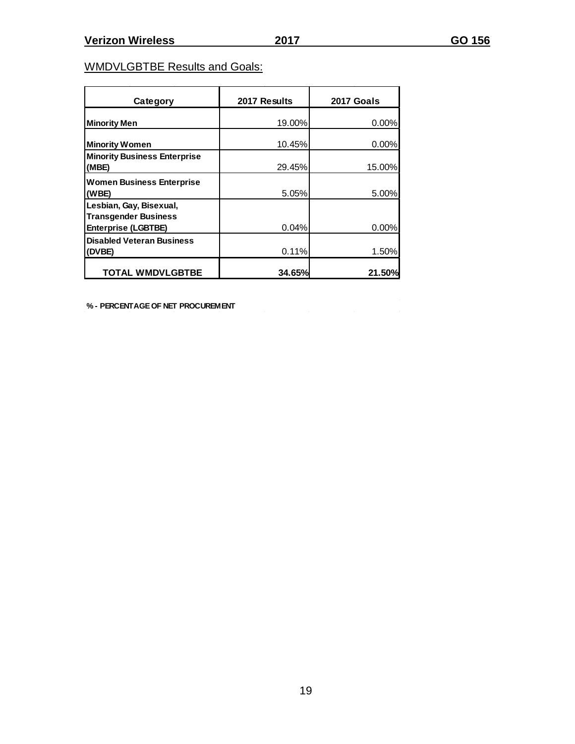$\sim$ 

## WMDVLGBTBE Results and Goals:

| Category                                               | 2017 Results | 2017 Goals |
|--------------------------------------------------------|--------------|------------|
| <b>Minority Men</b>                                    | 19.00%       | $0.00\%$   |
| <b>Minority Women</b>                                  | 10.45%       | $0.00\%$   |
| <b>Minority Business Enterprise</b><br>(MBE)           | 29.45%       | 15.00%     |
| <b>Women Business Enterprise</b><br>(WBE)              | 5.05%        | 5.00%      |
| Lesbian, Gay, Bisexual,<br><b>Transgender Business</b> |              |            |
| <b>Enterprise (LGBTBE)</b>                             | 0.04%        | 0.00%      |
| <b>Disabled Veteran Business</b><br>(DVBE)             | 0.11%        | 1.50%      |
| <b>TOTAL WMDVLGBTBE</b>                                | 34.65%       | 21.50%     |

**% - PERCENTAGE OF NET PROCUREMENT**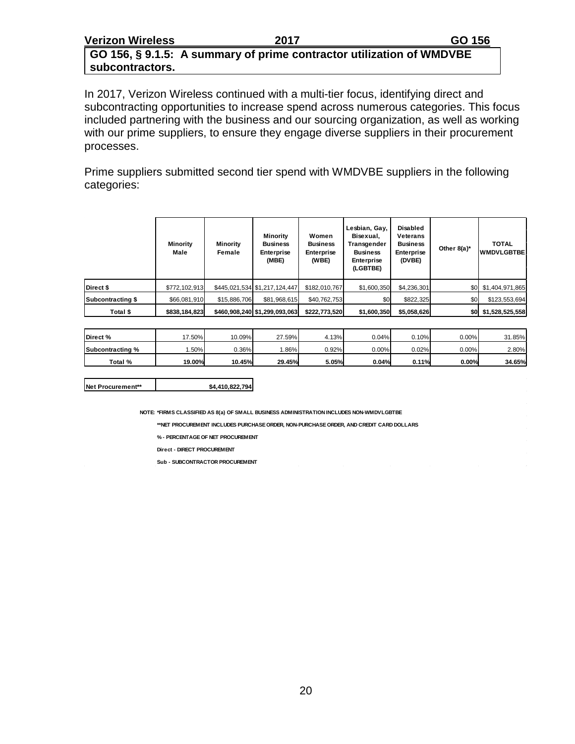#### **GO 156, § 9.1.5: A summary of prime contractor utilization of WMDVBE subcontractors.**

In 2017, Verizon Wireless continued with a multi-tier focus, identifying direct and subcontracting opportunities to increase spend across numerous categories. This focus included partnering with the business and our sourcing organization, as well as working with our prime suppliers, to ensure they engage diverse suppliers in their procurement processes.

Prime suppliers submitted second tier spend with WMDVBE suppliers in the following categories:

|                   | <b>Minority</b><br>Male | <b>Minority</b><br>Female | Minority<br><b>Business</b><br><b>Enterprise</b><br>(MBE) | Women<br><b>Business</b><br>Enterprise<br>(WBE) | Lesbian, Gay,<br>Bisexual,<br>Transgender<br><b>Business</b><br>Enterprise<br>(LGBTBE) | Disabled<br><b>Veterans</b><br><b>Business</b><br>Enterprise<br>(DVBE) | Other $8(a)^*$ | <b>TOTAL</b><br><b>WMDVLGBTBE</b> |  |
|-------------------|-------------------------|---------------------------|-----------------------------------------------------------|-------------------------------------------------|----------------------------------------------------------------------------------------|------------------------------------------------------------------------|----------------|-----------------------------------|--|
| Direct \$         | \$772,102,913           |                           | \$445,021,534 \$1,217,124,447                             | \$182,010,767                                   | \$1,600,350                                                                            | \$4,236,301                                                            |                | \$0 \$1,404,971,865               |  |
| Subcontracting \$ | \$66,081,910            | \$15,886,706              | \$81,968,615                                              | \$40,762,753                                    | \$0                                                                                    | \$822,325                                                              | \$0            | \$123,553,694                     |  |
| Total \$          | \$838,184,823           |                           | \$460,908,240 \$1,299,093,063                             | \$222,773,520                                   | \$1,600,350                                                                            | \$5,058,626                                                            |                | \$0 \$1,528,525,558               |  |

| Direct %         | '7.50% | 10.09%   | 27.59% | 4.13% | 0.04%    | 0.10%    | 0.00%    | 31.85% |
|------------------|--------|----------|--------|-------|----------|----------|----------|--------|
| Subcontracting % | .50%   | $0.36\%$ | .86%   | 0.92% | $0.00\%$ | $0.02\%$ | $0.00\%$ | 2.80%  |
| Total %          | 19.00% | 10.45%   | 29.45% | 5.05% | 0.04%    | 0.11%    | $0.00\%$ | 34.65% |

**NOTE: \*FIRMS CLASSIFIED AS 8(a) OF SMALL BUSINESS ADMINISTRATION INCLUDES NON-WMDVLGBTBE**

**\*\*NET PROCUREMENT INCLUDES PURCHASE ORDER, NON-PURCHASE ORDER, AND CREDIT CARD DOLLARS**

**% - PERCENTAGE OF NET PROCUREMENT**

**Direct - DIRECT PROCUREMENT**

**Sub - SUBCONTRACTOR PROCUREMENT**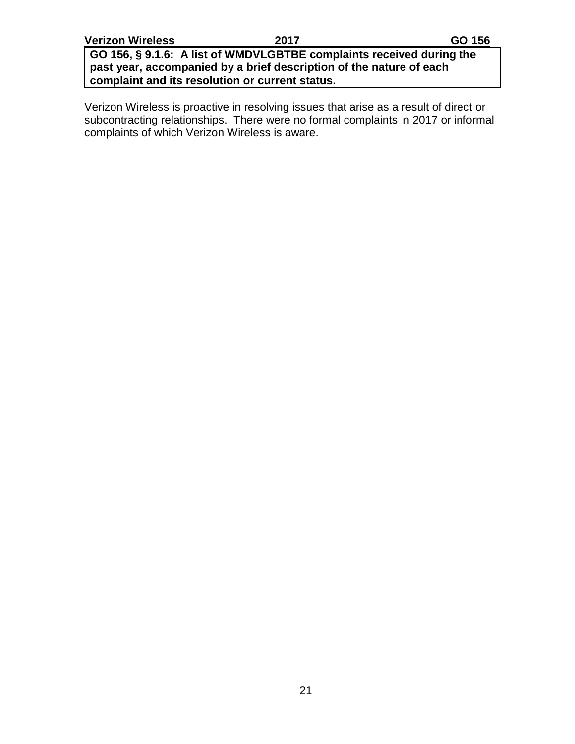**GO 156, § 9.1.6: A list of WMDVLGBTBE complaints received during the past year, accompanied by a brief description of the nature of each complaint and its resolution or current status.**

Verizon Wireless is proactive in resolving issues that arise as a result of direct or subcontracting relationships. There were no formal complaints in 2017 or informal complaints of which Verizon Wireless is aware.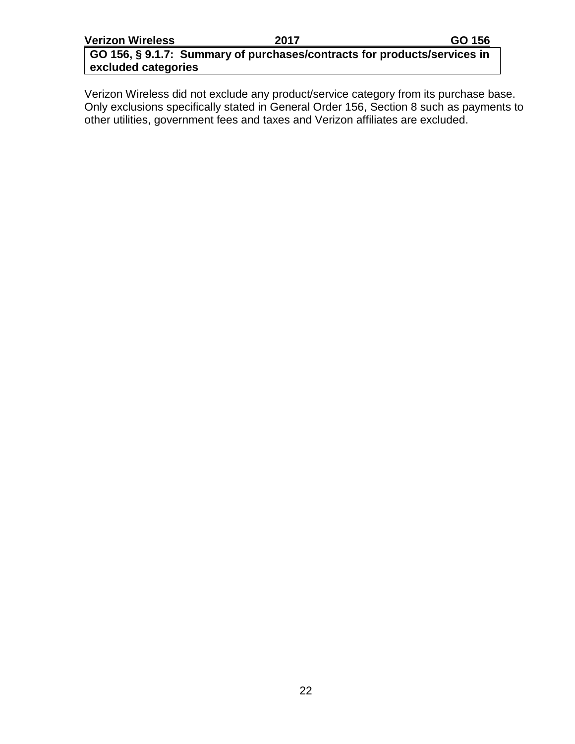**GO 156, § 9.1.7: Summary of purchases/contracts for products/services in excluded categories**

Verizon Wireless did not exclude any product/service category from its purchase base. Only exclusions specifically stated in General Order 156, Section 8 such as payments to other utilities, government fees and taxes and Verizon affiliates are excluded.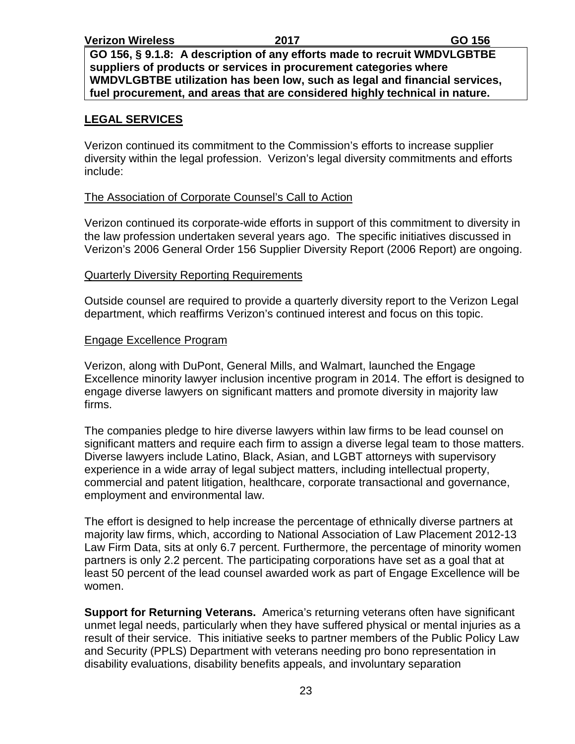**GO 156, § 9.1.8: A description of any efforts made to recruit WMDVLGBTBE suppliers of products or services in procurement categories where WMDVLGBTBE utilization has been low, such as legal and financial services, fuel procurement, and areas that are considered highly technical in nature.**

#### **LEGAL SERVICES**

Verizon continued its commitment to the Commission's efforts to increase supplier diversity within the legal profession. Verizon's legal diversity commitments and efforts include:

#### The Association of Corporate Counsel's Call to Action

Verizon continued its corporate-wide efforts in support of this commitment to diversity in the law profession undertaken several years ago. The specific initiatives discussed in Verizon's 2006 General Order 156 Supplier Diversity Report (2006 Report) are ongoing.

#### **Quarterly Diversity Reporting Requirements**

Outside counsel are required to provide a quarterly diversity report to the Verizon Legal department, which reaffirms Verizon's continued interest and focus on this topic.

#### Engage Excellence Program

Verizon, along with DuPont, General Mills, and Walmart, launched the Engage Excellence minority lawyer inclusion incentive program in 2014. The effort is designed to engage diverse lawyers on significant matters and promote diversity in majority law firms.

The companies pledge to hire diverse lawyers within law firms to be lead counsel on significant matters and require each firm to assign a diverse legal team to those matters. Diverse lawyers include Latino, Black, Asian, and LGBT attorneys with supervisory experience in a wide array of legal subject matters, including intellectual property, commercial and patent litigation, healthcare, corporate transactional and governance, employment and environmental law.

The effort is designed to help increase the percentage of ethnically diverse partners at majority law firms, which, according to National Association of Law Placement 2012-13 Law Firm Data, sits at only 6.7 percent. Furthermore, the percentage of minority women partners is only 2.2 percent. The participating corporations have set as a goal that at least 50 percent of the lead counsel awarded work as part of Engage Excellence will be women.

**Support for Returning Veterans.** America's returning veterans often have significant unmet legal needs, particularly when they have suffered physical or mental injuries as a result of their service. This initiative seeks to partner members of the Public Policy Law and Security (PPLS) Department with veterans needing pro bono representation in disability evaluations, disability benefits appeals, and involuntary separation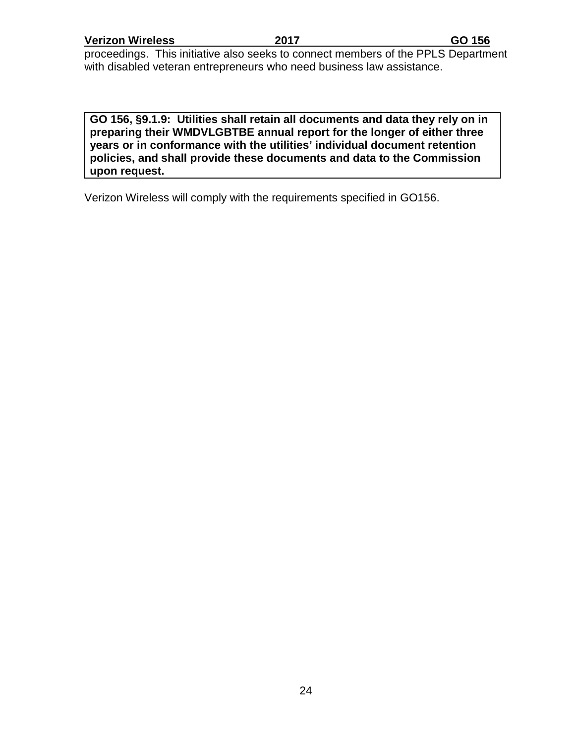proceedings. This initiative also seeks to connect members of the PPLS Department with disabled veteran entrepreneurs who need business law assistance.

**GO 156, §9.1.9: Utilities shall retain all documents and data they rely on in preparing their WMDVLGBTBE annual report for the longer of either three years or in conformance with the utilities' individual document retention policies, and shall provide these documents and data to the Commission upon request.**

Verizon Wireless will comply with the requirements specified in GO156.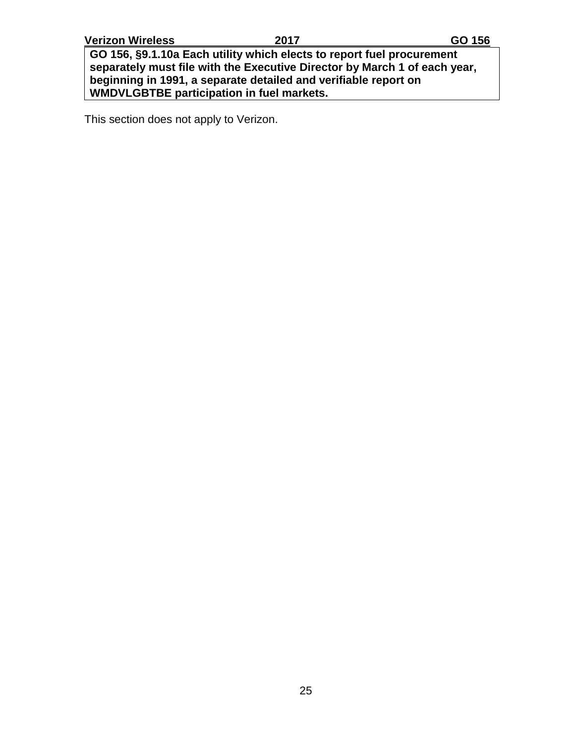**GO 156, §9.1.10a Each utility which elects to report fuel procurement separately must file with the Executive Director by March 1 of each year, beginning in 1991, a separate detailed and verifiable report on WMDVLGBTBE participation in fuel markets.**

This section does not apply to Verizon.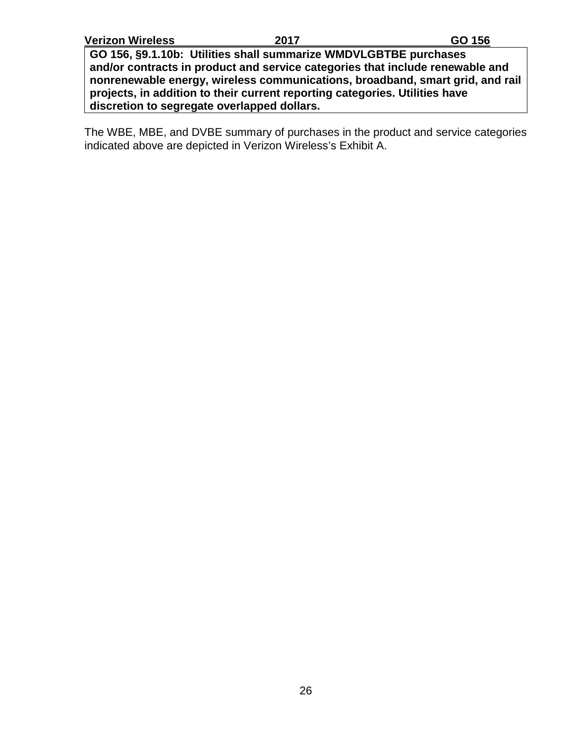**GO 156, §9.1.10b: Utilities shall summarize WMDVLGBTBE purchases and/or contracts in product and service categories that include renewable and nonrenewable energy, wireless communications, broadband, smart grid, and rail projects, in addition to their current reporting categories. Utilities have discretion to segregate overlapped dollars.**

The WBE, MBE, and DVBE summary of purchases in the product and service categories indicated above are depicted in Verizon Wireless's Exhibit A.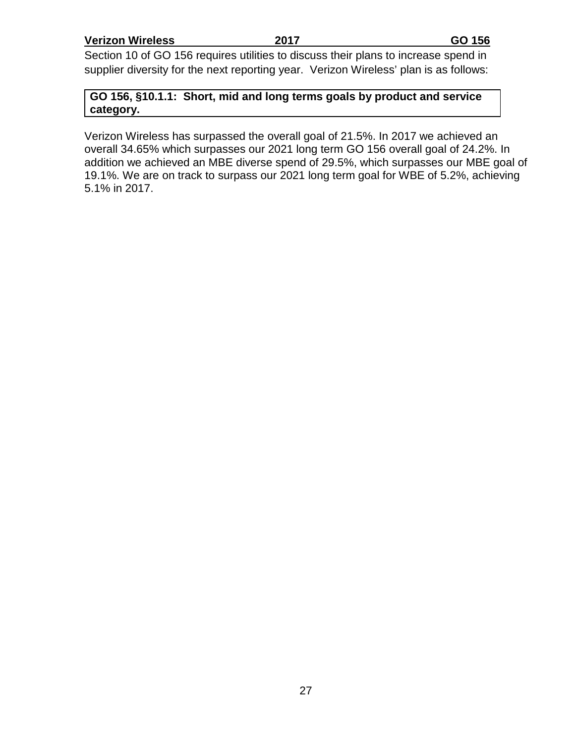Section 10 of GO 156 requires utilities to discuss their plans to increase spend in supplier diversity for the next reporting year. Verizon Wireless' plan is as follows:

**GO 156, §10.1.1: Short, mid and long terms goals by product and service category.**

Verizon Wireless has surpassed the overall goal of 21.5%. In 2017 we achieved an overall 34.65% which surpasses our 2021 long term GO 156 overall goal of 24.2%. In addition we achieved an MBE diverse spend of 29.5%, which surpasses our MBE goal of 19.1%. We are on track to surpass our 2021 long term goal for WBE of 5.2%, achieving 5.1% in 2017.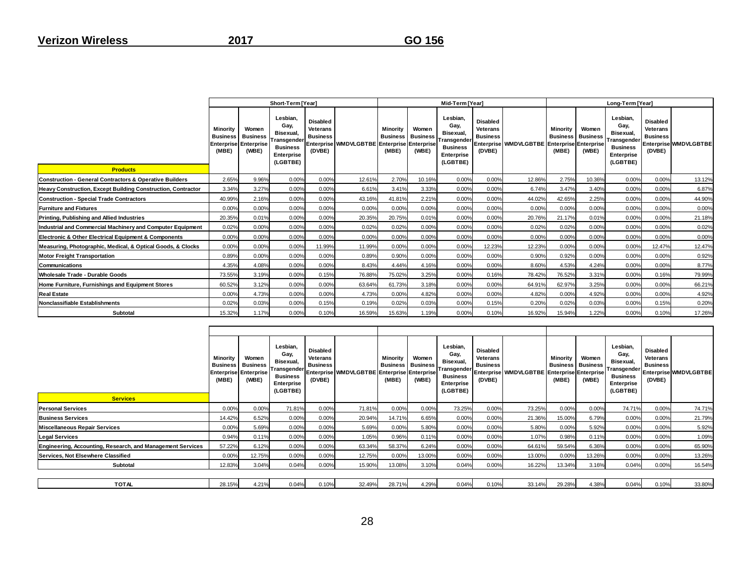|                                                                    |                                                                      |                                   | Short-Term [Year]                                                                         |                                                          |                                             | Mid-Term [Year]                      |                                   |                                                                                          |                                                          |                                             |                                      | Long-Term [Year]                  |                                                                                           |                                                          |                       |  |  |
|--------------------------------------------------------------------|----------------------------------------------------------------------|-----------------------------------|-------------------------------------------------------------------------------------------|----------------------------------------------------------|---------------------------------------------|--------------------------------------|-----------------------------------|------------------------------------------------------------------------------------------|----------------------------------------------------------|---------------------------------------------|--------------------------------------|-----------------------------------|-------------------------------------------------------------------------------------------|----------------------------------------------------------|-----------------------|--|--|
| <b>Products</b>                                                    | Minority<br><b>Business</b><br><b>Enterprise Enterprise</b><br>(MBE) | Women<br><b>Business</b><br>(WBE) | Lesbian,<br>Gay,<br>Bisexual,<br>Transgender<br><b>Business</b><br>Enterprise<br>(LGBTBE) | <b>Disabled</b><br>Veterans<br><b>Business</b><br>(DVBE) | Enterprise WMDVLGBTBE Enterprise Enterprise | Minority<br><b>Business</b><br>(MBE) | Women<br><b>Business</b><br>(WBE) | Lesbian.<br>Gay,<br>Bisexual,<br>ransgender<br><b>Business</b><br>Enterprise<br>(LGBTBE) | <b>Disabled</b><br>Veterans<br><b>Business</b><br>(DVBE) | Enterprise WMDVLGBTBE Enterprise Enterprise | Minority<br><b>Business</b><br>(MBE) | Women<br><b>Business</b><br>(WBE) | Lesbian.<br>Gay,<br>Bisexual,<br>Transgender<br><b>Business</b><br>Enterprise<br>(LGBTBE) | <b>Disabled</b><br>Veterans<br><b>Business</b><br>(DVBE) | Enterprise WMDVLGBTBE |  |  |
| <b>Construction - General Contractors &amp; Operative Builders</b> | 2.65%                                                                | 9.96%                             | 0.00%                                                                                     | 0.00%                                                    | 12.61%                                      | 2.70%                                | 10.16%                            | 0.00%                                                                                    | 0.00%                                                    | 12.86%                                      | 2.75%                                | 10.36%                            | 0.00%                                                                                     | 0.00%                                                    | 13.12%                |  |  |
| Heavy Construction, Except Building Construction, Contractor       | 3.34%                                                                | 3.27%                             | 0.00%                                                                                     | 0.00%                                                    | 6.61%                                       | 3.41%                                | 3.33%                             | 0.00%                                                                                    | 0.00%                                                    | 6.74%                                       | 3.47%                                | 3.40%                             | 0.00%                                                                                     | 0.00%                                                    | 6.87%                 |  |  |
| <b>Construction - Special Trade Contractors</b>                    | 40.99%                                                               | 2.16%                             | 0.00%                                                                                     | 0.00%                                                    | 43.16%                                      | 41.81%                               | 2.21%                             | 0.00%                                                                                    | 0.00%                                                    | 44.02%                                      | 42.65%                               | 2.25%                             | 0.00%                                                                                     | 0.00%                                                    | 44.90%                |  |  |
| <b>Furniture and Fixtures</b>                                      | 0.00%                                                                | 0.00%                             | 0.00%                                                                                     | 0.00%                                                    | 0.00%                                       | 0.00%                                | 0.00%                             | 0.00%                                                                                    | 0.00%                                                    | 0.00%                                       | 0.00%                                | 0.00%                             | 0.00%                                                                                     | 0.00%                                                    | 0.00%                 |  |  |
| Printing, Publishing and Allied Industries                         | 20.35%                                                               | 0.01%                             | 0.00%                                                                                     | 0.00%                                                    | 20.35%                                      | 20.75%                               | 0.01%                             | 0.00%                                                                                    | 0.00%                                                    | 20.76%                                      | 21.17%                               | 0.01%                             | 0.00%                                                                                     | 0.00%                                                    | 21.18%                |  |  |
| Industrial and Commercial Machinery and Computer Equipment         | 0.02%                                                                | 0.00%                             | 0.00%                                                                                     | 0.00%                                                    | 0.02%                                       | 0.02%                                | 0.00%                             | 0.00%                                                                                    | 0.00%                                                    | 0.02%                                       | 0.02%                                | 0.00%                             | 0.00%                                                                                     | 0.00%                                                    | 0.02%                 |  |  |
| Electronic & Other Electrical Equipment & Components               | 0.00%                                                                | 0.00%                             | 0.00%                                                                                     | 0.00%                                                    | 0.00%                                       | 0.00%                                | 0.00%                             | 0.00%                                                                                    | 0.00%                                                    | 0.00%                                       | 0.00%                                | 0.00%                             | 0.00%                                                                                     | 0.00%                                                    | 0.00%                 |  |  |
| Measuring, Photographic, Medical, & Optical Goods, & Clocks        | 0.00%                                                                | 0.00%                             | 0.00%                                                                                     | 11.99%                                                   | 11.99%                                      | 0.00%                                | 0.00%                             | 0.00%                                                                                    | 12.23%                                                   | 12.23%                                      | 0.00%                                | 0.00%                             | 0.00%                                                                                     | 12.47%                                                   | 12.47%                |  |  |
| <b>Motor Freight Transportation</b>                                | 0.89%                                                                | 0.00%                             | 0.00%                                                                                     | 0.00%                                                    | 0.89%                                       | 0.90%                                | 0.00%                             | 0.00%                                                                                    | 0.00%                                                    | 0.90%                                       | 0.92%                                | 0.00%                             | 0.00%                                                                                     | 0.00%                                                    | 0.92%                 |  |  |
| Communications                                                     | 4.35%                                                                | 4.08%                             | 0.00%                                                                                     | 0.00%                                                    | 8.43%                                       | 4.44%                                | 4.16%                             | 0.00%                                                                                    | 0.00%                                                    | 8.60%                                       | 4.53%                                | 4.24%                             | 0.00%                                                                                     | 0.00%                                                    | 8.77%                 |  |  |
| Wholesale Trade - Durable Goods                                    | 73.55%                                                               | 3.19%                             | 0.00%                                                                                     | 0.15%                                                    | 76.88%                                      | 75.02%                               | 3.25%                             | 0.00%                                                                                    | 0.16%                                                    | 78.42%                                      | 76.52%                               | 3.31%                             | 0.00%                                                                                     | 0.16%                                                    | 79.99%                |  |  |
| Home Furniture, Furnishings and Equipment Stores                   | 60.52%                                                               | 3.12%                             | 0.00%                                                                                     | 0.00%                                                    | 63.64%                                      | 61.73%                               | 3.18%                             | 0.00%                                                                                    | 0.00%                                                    | 64.91%                                      | 62.97%                               | 3.25%                             | 0.00%                                                                                     | 0.00%                                                    | 66.21%                |  |  |
| <b>Real Estate</b>                                                 | 0.00%                                                                | 4.73%                             | 0.00%                                                                                     | 0.00%                                                    | 4.73%                                       | 0.00%                                | 4.82%                             | 0.00%                                                                                    | 0.00%                                                    | 4.82%                                       | 0.00%                                | 4.92%                             | 0.00%                                                                                     | 0.00%                                                    | 4.92%                 |  |  |
| Nonclassifiable Establishments                                     |                                                                      | 0.03%                             | 0.00%                                                                                     | 0.15%                                                    | 0.19%                                       | 0.02%                                | 0.03%                             | 0.00%                                                                                    | 0.15%                                                    | 0.20%                                       | 0.02%                                | 0.03%                             | 0.00%                                                                                     | 0.15%                                                    | 0.20%                 |  |  |
| <b>Subtotal</b>                                                    | 15.32%                                                               | 1.17%                             | 0.00%                                                                                     | 0.10%                                                    | 16.59%                                      | 15.63%                               | 1.19%                             | 0.00%                                                                                    | 0.10%                                                    | 16.92%                                      | 15.94%                               | 1.22%                             | 0.00%                                                                                     | 0.10%                                                    | 17.26%                |  |  |
|                                                                    |                                                                      |                                   |                                                                                           |                                                          |                                             |                                      |                                   |                                                                                          |                                                          |                                             |                                      |                                   |                                                                                           |                                                          |                       |  |  |

| <b>Services</b>                                            |        | Women<br><b>Business</b> Business<br><b>Enterprise Enterprise</b><br>(WBE) | Lesbian,<br>Gav.<br>Bisexual,<br>Transgender<br><b>Business</b><br>Enterprise<br>(LGBTBE) | Disabled<br>Veterans<br><b>Business</b><br>(DVBE) | Enterprise WMDVLGBTBE Enterprise Enterprise | Minoritv<br>(MBE) | Women<br><b>Business</b> Business<br>(WBE) | Lesbian,<br>Gay,<br>Bisexual,<br>Transgender<br><b>Business</b><br>Enterprise<br>(LGBTBE) | <b>Disabled</b><br>Veterans<br><b>Business</b><br>(DVBE) | Enterprise WMDVLGBTBE Enterprise Enterprise | Minority<br>(MBE) | Women<br><b>Business   Business  </b><br>(WBE) | Lesbian,<br>Gay,<br>Bisexual,<br><b>Business</b><br>Enterprise<br>(LGBTBE) | Disabled<br>Veterans<br><b>Business</b><br>(DVBE) | Transgender Enterprise WMDVLGBTBE |  |
|------------------------------------------------------------|--------|----------------------------------------------------------------------------|-------------------------------------------------------------------------------------------|---------------------------------------------------|---------------------------------------------|-------------------|--------------------------------------------|-------------------------------------------------------------------------------------------|----------------------------------------------------------|---------------------------------------------|-------------------|------------------------------------------------|----------------------------------------------------------------------------|---------------------------------------------------|-----------------------------------|--|
| <b>Personal Services</b>                                   | 0.00%  | 0.00%                                                                      | 71.81%                                                                                    | 0.00%                                             | 71.81%                                      | 0.00%             | 0.00%                                      | 73.25%                                                                                    | 0.00%                                                    | 73.25%                                      | 0.00%             | 0.00%                                          | 74.71%                                                                     | 0.00%                                             | 74.71%                            |  |
| <b>Business Services</b>                                   | 14.42% | 6.52%                                                                      | 0.00%                                                                                     | 0.00%                                             | 20.94%                                      | 14.71%            | 6.65%                                      | 0.00%                                                                                     | 0.00%                                                    | 21.36%                                      | 15.00%            | 6.79%                                          | 0.00%                                                                      | 0.00%                                             | 21.79%                            |  |
| <b>Miscellaneous Repair Services</b>                       | 0.00%  | 5.69%                                                                      | 0.00%                                                                                     | 0.00%                                             | 5.69%                                       | 0.00%             | 5.80%                                      | 0.00%                                                                                     | 0.00%                                                    | 5.80%                                       | 0.00%             | 5.92%                                          | 0.00%                                                                      | 0.00%                                             | 5.92%                             |  |
| <b>Legal Services</b>                                      | 0.94%  | 0.11%                                                                      | 0.00%                                                                                     | 0.00%                                             | 1.05%                                       | 0.96%             | 0.11%                                      | 0.00%                                                                                     | 0.00%                                                    | 1.07%                                       | 0.98%             | 0.11%                                          | 0.00%                                                                      | 0.00%                                             | 1.09%                             |  |
| Engineering, Accounting, Research, and Management Services | 57.22% | 6.12%                                                                      | 0.00%                                                                                     | 0.00%                                             | 63.34%                                      | 58.37%            | 6.24%                                      | 0.00%                                                                                     | 0.00%                                                    | 64.61%                                      | 59.54%            | 6.36%                                          | 0.00%                                                                      | 0.00%                                             | 65.90%                            |  |
| Services, Not Elsewhere Classified                         | 0.00%  | 12.75%                                                                     | 0.00%                                                                                     | 0.00%                                             | 12.75%                                      | 0.00%             | 13.00%                                     | 0.00%                                                                                     | 0.00%                                                    | 13.00%                                      | 0.00%             | 13.26%                                         | 0.00%                                                                      | 0.00%                                             | 13.26%                            |  |
| Subtotal                                                   | 12.83% | 3.04%                                                                      | 0.04%                                                                                     | 0.00%                                             | 15.90%                                      | 13.08%            | 3.10%                                      | 0.04%                                                                                     | 0.00%                                                    | 16.22%                                      | 13.34%            | 3.16%                                          | 0.04%                                                                      | 0.00%                                             | 16.54%                            |  |
|                                                            |        |                                                                            |                                                                                           |                                                   |                                             |                   |                                            |                                                                                           |                                                          |                                             |                   |                                                |                                                                            |                                                   |                                   |  |
| <b>TOTAL</b>                                               | 28.15% | 4.21%                                                                      | 0.04%                                                                                     | 0.10%                                             | 32.49%                                      | 28.71%            | 4.29%                                      | 0.04%                                                                                     | 0.10%                                                    | 33.14%                                      | 29.28%            | 4.38%                                          | 0.04%                                                                      | 0.10%                                             | 33.80%                            |  |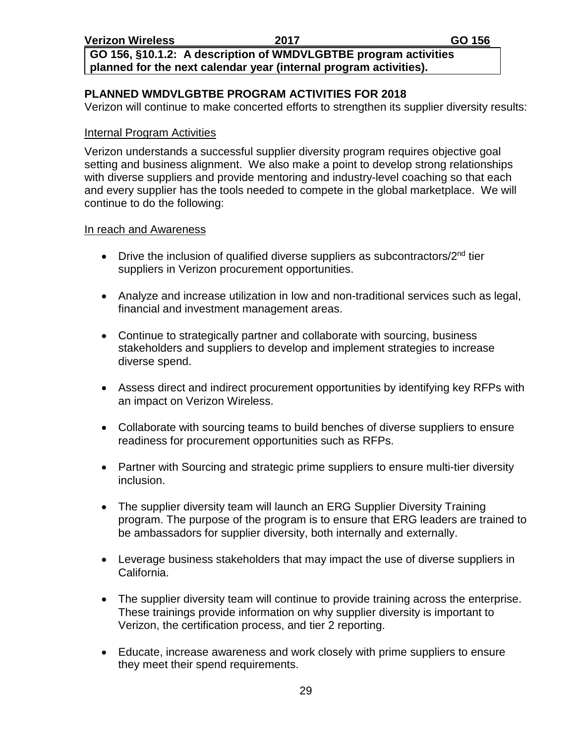**GO 156, §10.1.2: A description of WMDVLGBTBE program activities planned for the next calendar year (internal program activities).**

#### **PLANNED WMDVLGBTBE PROGRAM ACTIVITIES FOR 2018**

Verizon will continue to make concerted efforts to strengthen its supplier diversity results:

#### Internal Program Activities

Verizon understands a successful supplier diversity program requires objective goal setting and business alignment. We also make a point to develop strong relationships with diverse suppliers and provide mentoring and industry-level coaching so that each and every supplier has the tools needed to compete in the global marketplace. We will continue to do the following:

#### In reach and Awareness

- Drive the inclusion of qualified diverse suppliers as subcontractors/ $2<sup>nd</sup>$  tier suppliers in Verizon procurement opportunities.
- Analyze and increase utilization in low and non-traditional services such as legal, financial and investment management areas.
- Continue to strategically partner and collaborate with sourcing, business stakeholders and suppliers to develop and implement strategies to increase diverse spend.
- Assess direct and indirect procurement opportunities by identifying key RFPs with an impact on Verizon Wireless.
- Collaborate with sourcing teams to build benches of diverse suppliers to ensure readiness for procurement opportunities such as RFPs.
- Partner with Sourcing and strategic prime suppliers to ensure multi-tier diversity inclusion.
- The supplier diversity team will launch an ERG Supplier Diversity Training program. The purpose of the program is to ensure that ERG leaders are trained to be ambassadors for supplier diversity, both internally and externally.
- Leverage business stakeholders that may impact the use of diverse suppliers in California.
- The supplier diversity team will continue to provide training across the enterprise. These trainings provide information on why supplier diversity is important to Verizon, the certification process, and tier 2 reporting.
- Educate, increase awareness and work closely with prime suppliers to ensure they meet their spend requirements.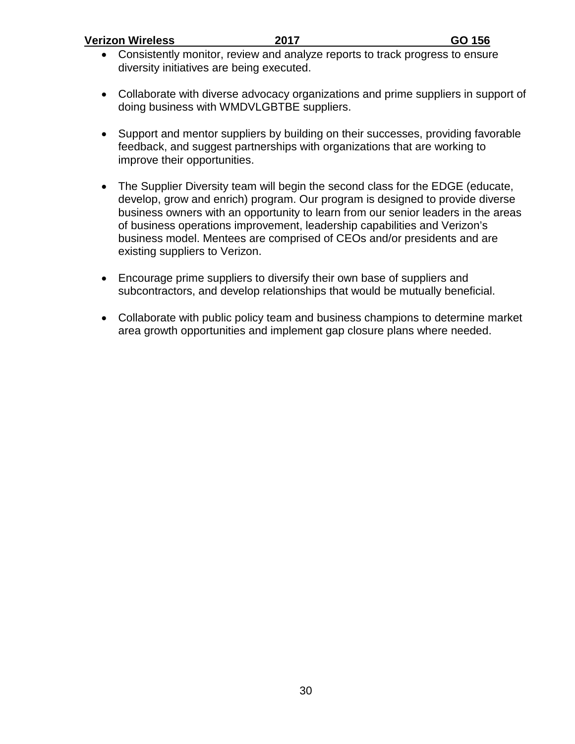| <b>Verizon Wireless</b> | 2017 | GO 156 |
|-------------------------|------|--------|
|                         |      |        |

- Consistently monitor, review and analyze reports to track progress to ensure diversity initiatives are being executed.
- Collaborate with diverse advocacy organizations and prime suppliers in support of doing business with WMDVLGBTBE suppliers.
- Support and mentor suppliers by building on their successes, providing favorable feedback, and suggest partnerships with organizations that are working to improve their opportunities.
- The Supplier Diversity team will begin the second class for the EDGE (educate, develop, grow and enrich) program. Our program is designed to provide diverse business owners with an opportunity to learn from our senior leaders in the areas of business operations improvement, leadership capabilities and Verizon's business model. Mentees are comprised of CEOs and/or presidents and are existing suppliers to Verizon.
- Encourage prime suppliers to diversify their own base of suppliers and subcontractors, and develop relationships that would be mutually beneficial.
- Collaborate with public policy team and business champions to determine market area growth opportunities and implement gap closure plans where needed.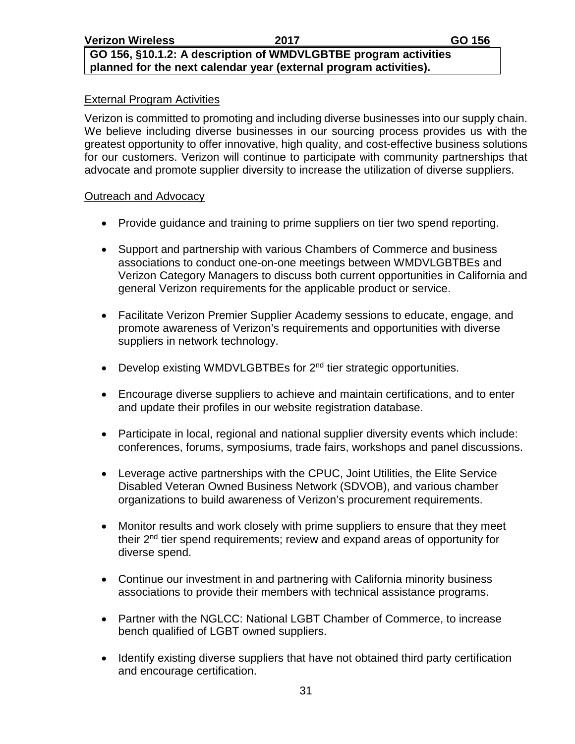**GO 156, §10.1.2: A description of WMDVLGBTBE program activities planned for the next calendar year (external program activities).**

#### External Program Activities

Verizon is committed to promoting and including diverse businesses into our supply chain. We believe including diverse businesses in our sourcing process provides us with the greatest opportunity to offer innovative, high quality, and cost-effective business solutions for our customers. Verizon will continue to participate with community partnerships that advocate and promote supplier diversity to increase the utilization of diverse suppliers.

#### Outreach and Advocacy

- Provide guidance and training to prime suppliers on tier two spend reporting.
- Support and partnership with various Chambers of Commerce and business associations to conduct one-on-one meetings between WMDVLGBTBEs and Verizon Category Managers to discuss both current opportunities in California and general Verizon requirements for the applicable product or service.
- Facilitate Verizon Premier Supplier Academy sessions to educate, engage, and promote awareness of Verizon's requirements and opportunities with diverse suppliers in network technology.
- Develop existing WMDVLGBTBEs for  $2<sup>nd</sup>$  tier strategic opportunities.
- Encourage diverse suppliers to achieve and maintain certifications, and to enter and update their profiles in our website registration database.
- Participate in local, regional and national supplier diversity events which include: conferences, forums, symposiums, trade fairs, workshops and panel discussions.
- Leverage active partnerships with the CPUC, Joint Utilities, the Elite Service Disabled Veteran Owned Business Network (SDVOB), and various chamber organizations to build awareness of Verizon's procurement requirements.
- Monitor results and work closely with prime suppliers to ensure that they meet their 2nd tier spend requirements; review and expand areas of opportunity for diverse spend.
- Continue our investment in and partnering with California minority business associations to provide their members with technical assistance programs.
- Partner with the NGLCC: National LGBT Chamber of Commerce, to increase bench qualified of LGBT owned suppliers.
- Identify existing diverse suppliers that have not obtained third party certification and encourage certification.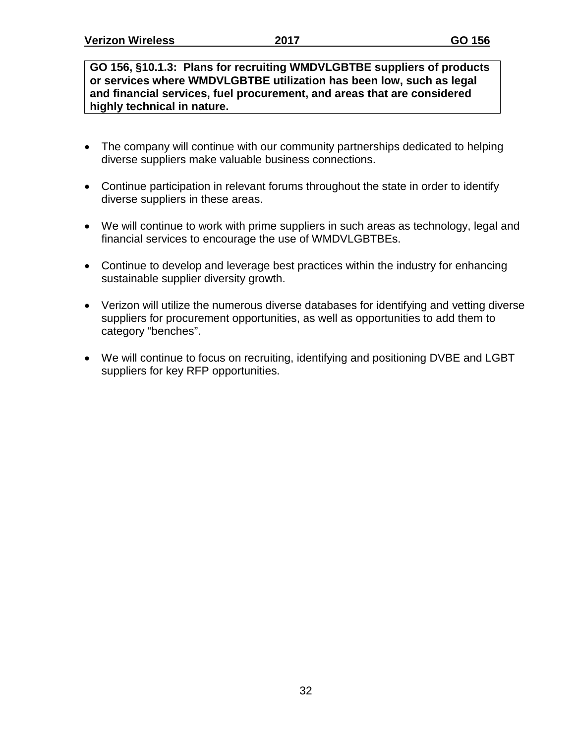**GO 156, §10.1.3: Plans for recruiting WMDVLGBTBE suppliers of products or services where WMDVLGBTBE utilization has been low, such as legal and financial services, fuel procurement, and areas that are considered highly technical in nature.**

- The company will continue with our community partnerships dedicated to helping diverse suppliers make valuable business connections.
- Continue participation in relevant forums throughout the state in order to identify diverse suppliers in these areas.
- We will continue to work with prime suppliers in such areas as technology, legal and financial services to encourage the use of WMDVLGBTBEs.
- Continue to develop and leverage best practices within the industry for enhancing sustainable supplier diversity growth.
- Verizon will utilize the numerous diverse databases for identifying and vetting diverse suppliers for procurement opportunities, as well as opportunities to add them to category "benches".
- We will continue to focus on recruiting, identifying and positioning DVBE and LGBT suppliers for key RFP opportunities.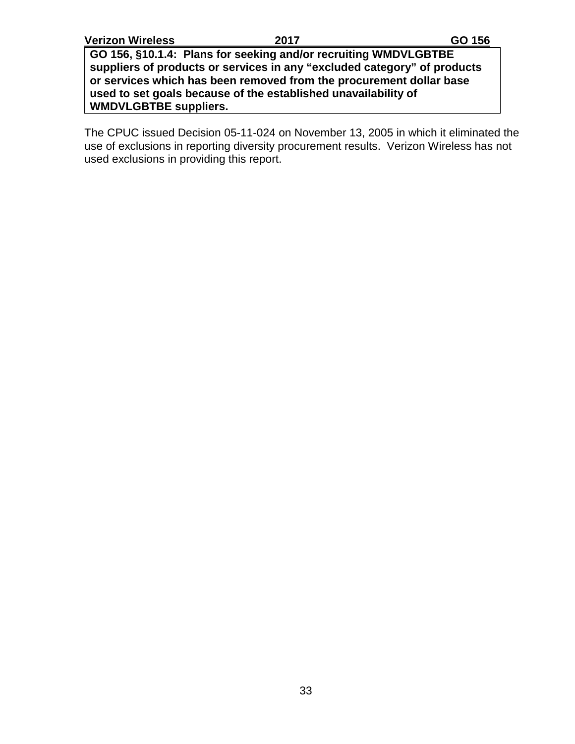**GO 156, §10.1.4: Plans for seeking and/or recruiting WMDVLGBTBE suppliers of products or services in any "excluded category" of products or services which has been removed from the procurement dollar base used to set goals because of the established unavailability of WMDVLGBTBE suppliers.**

The CPUC issued Decision 05-11-024 on November 13, 2005 in which it eliminated the use of exclusions in reporting diversity procurement results. Verizon Wireless has not used exclusions in providing this report.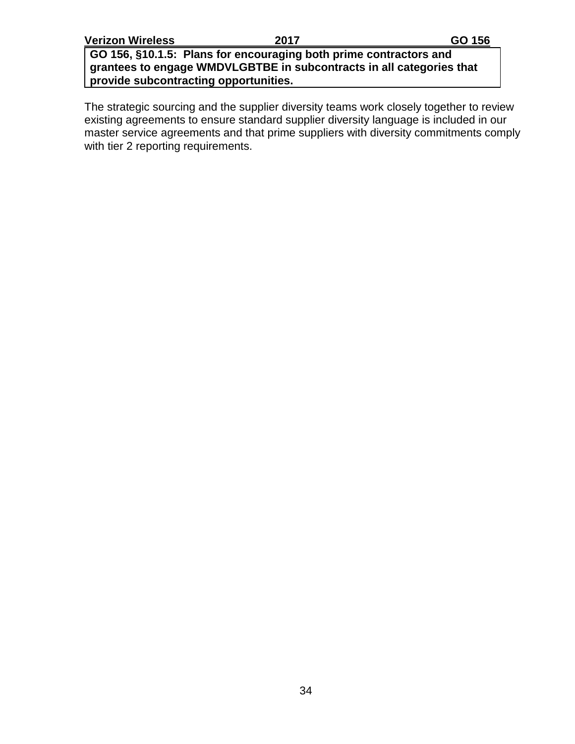**GO 156, §10.1.5: Plans for encouraging both prime contractors and grantees to engage WMDVLGBTBE in subcontracts in all categories that provide subcontracting opportunities.**

The strategic sourcing and the supplier diversity teams work closely together to review existing agreements to ensure standard supplier diversity language is included in our master service agreements and that prime suppliers with diversity commitments comply with tier 2 reporting requirements.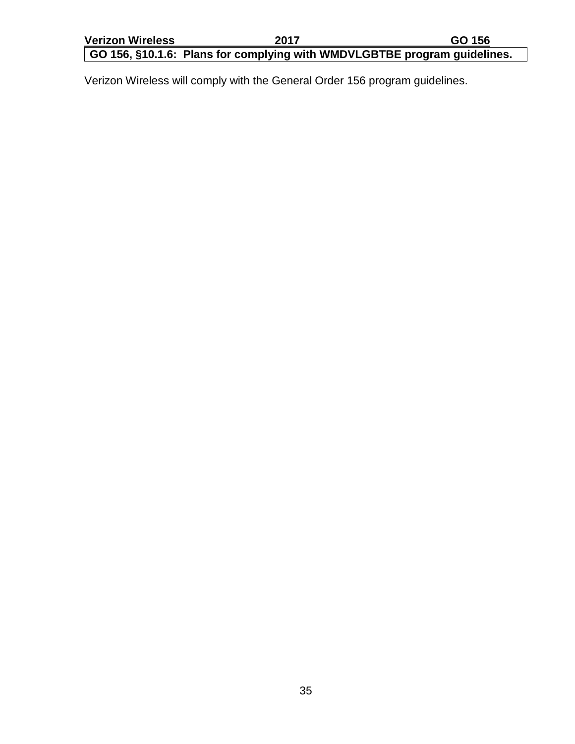## **GO 156, §10.1.6: Plans for complying with WMDVLGBTBE program guidelines.**

Verizon Wireless will comply with the General Order 156 program guidelines.